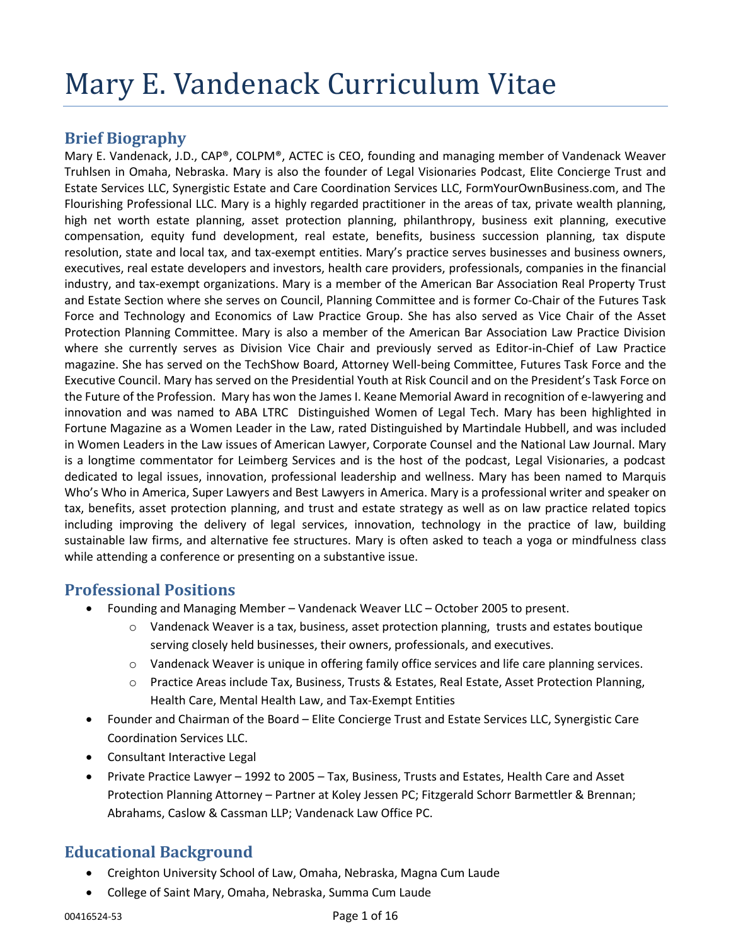# **Brief Biography**

Mary E. Vandenack, J.D., CAP®, COLPM®, ACTEC is CEO, founding and managing member of Vandenack Weaver Truhlsen in Omaha, Nebraska. Mary is also the founder of Legal Visionaries Podcast, Elite Concierge Trust and Estate Services LLC, Synergistic Estate and Care Coordination Services LLC, FormYourOwnBusiness.com, and The Flourishing Professional LLC. Mary is a highly regarded practitioner in the areas of tax, private wealth planning, high net worth estate planning, asset protection planning, philanthropy, business exit planning, executive compensation, equity fund development, real estate, benefits, business succession planning, tax dispute resolution, state and local tax, and tax-exempt entities. Mary's practice serves businesses and business owners, executives, real estate developers and investors, health care providers, professionals, companies in the financial industry, and tax-exempt organizations. Mary is a member of the American Bar Association Real Property Trust and Estate Section where she serves on Council, Planning Committee and is former Co-Chair of the Futures Task Force and Technology and Economics of Law Practice Group. She has also served as Vice Chair of the Asset Protection Planning Committee. Mary is also a member of the American Bar Association Law Practice Division where she currently serves as Division Vice Chair and previously served as Editor-in-Chief of Law Practice magazine. She has served on the TechShow Board, Attorney Well-being Committee, Futures Task Force and the Executive Council. Mary has served on the Presidential Youth at Risk Council and on the President's Task Force on the Future of the Profession. Mary has won the James I. Keane Memorial Award in recognition of e-lawyering and innovation and was named to ABA LTRC Distinguished Women of Legal Tech. Mary has been highlighted in Fortune Magazine as a Women Leader in the Law, rated Distinguished by Martindale Hubbell, and was included in Women Leaders in the Law issues of American Lawyer, Corporate Counsel and the National Law Journal. Mary is a longtime commentator for Leimberg Services and is the host of the podcast, Legal Visionaries, a podcast dedicated to legal issues, innovation, professional leadership and wellness. Mary has been named to Marquis Who's Who in America, Super Lawyers and Best Lawyers in America. Mary is a professional writer and speaker on tax, benefits, asset protection planning, and trust and estate strategy as well as on law practice related topics including improving the delivery of legal services, innovation, technology in the practice of law, building sustainable law firms, and alternative fee structures. Mary is often asked to teach a yoga or mindfulness class while attending a conference or presenting on a substantive issue.

# **Professional Positions**

- Founding and Managing Member Vandenack Weaver LLC October 2005 to present.
	- $\circ$  Vandenack Weaver is a tax, business, asset protection planning, trusts and estates boutique serving closely held businesses, their owners, professionals, and executives.
	- o Vandenack Weaver is unique in offering family office services and life care planning services.
	- o Practice Areas include Tax, Business, Trusts & Estates, Real Estate, Asset Protection Planning, Health Care, Mental Health Law, and Tax-Exempt Entities
- Founder and Chairman of the Board Elite Concierge Trust and Estate Services LLC, Synergistic Care Coordination Services LLC.
- Consultant Interactive Legal
- Private Practice Lawyer 1992 to 2005 Tax, Business, Trusts and Estates, Health Care and Asset Protection Planning Attorney – Partner at Koley Jessen PC; Fitzgerald Schorr Barmettler & Brennan; Abrahams, Caslow & Cassman LLP; Vandenack Law Office PC.

# **Educational Background**

- Creighton University School of Law, Omaha, Nebraska, Magna Cum Laude
- College of Saint Mary, Omaha, Nebraska, Summa Cum Laude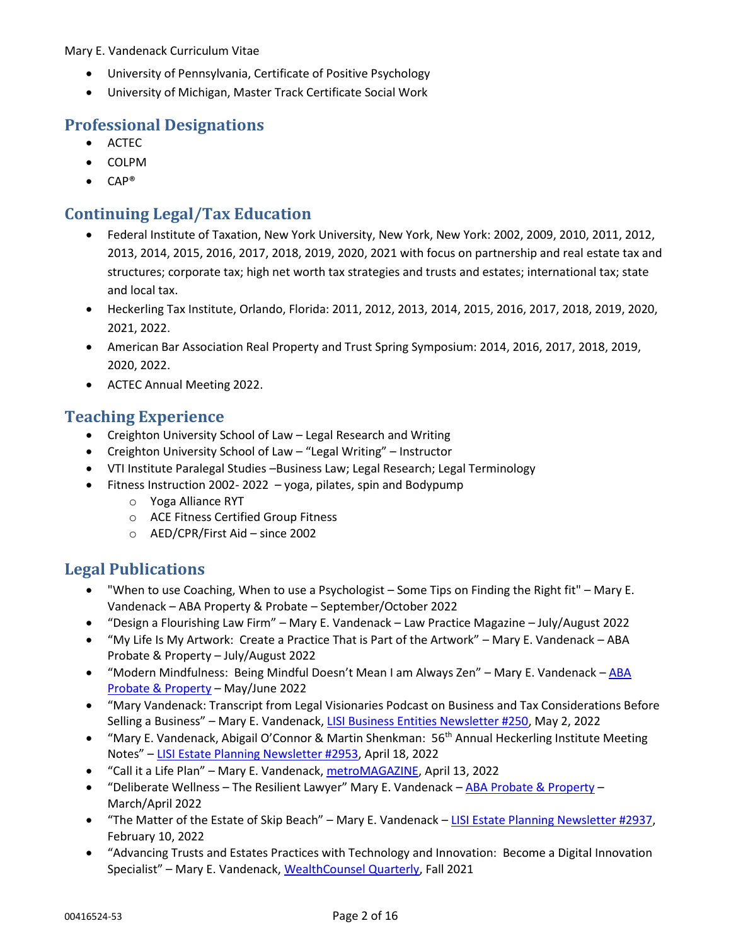- University of Pennsylvania, Certificate of Positive Psychology
- University of Michigan, Master Track Certificate Social Work

# **Professional Designations**

- ACTEC
- COLPM
- CAP®

# **Continuing Legal/Tax Education**

- Federal Institute of Taxation, New York University, New York, New York: 2002, 2009, 2010, 2011, 2012, 2013, 2014, 2015, 2016, 2017, 2018, 2019, 2020, 2021 with focus on partnership and real estate tax and structures; corporate tax; high net worth tax strategies and trusts and estates; international tax; state and local tax.
- Heckerling Tax Institute, Orlando, Florida: 2011, 2012, 2013, 2014, 2015, 2016, 2017, 2018, 2019, 2020, 2021, 2022.
- American Bar Association Real Property and Trust Spring Symposium: 2014, 2016, 2017, 2018, 2019, 2020, 2022.
- ACTEC Annual Meeting 2022.

# **Teaching Experience**

- Creighton University School of Law Legal Research and Writing
- Creighton University School of Law "Legal Writing" Instructor
- VTI Institute Paralegal Studies –Business Law; Legal Research; Legal Terminology
- Fitness Instruction 2002- 2022 yoga, pilates, spin and Bodypump
	- o Yoga Alliance RYT
	- o ACE Fitness Certified Group Fitness
	- o AED/CPR/First Aid since 2002

# **Legal Publications**

- "When to use Coaching, When to use a Psychologist Some Tips on Finding the Right fit" Mary E. Vandenack – ABA Property & Probate – September/October 2022
- "Design a Flourishing Law Firm" Mary E. Vandenack Law Practice Magazine July/August 2022
- "My Life Is My Artwork: Create a Practice That is Part of the Artwork" Mary E. Vandenack ABA Probate & Property – July/August 2022
- "Modern Mindfulness: Being Mindful Doesn't Mean I am Always Zen" Mary E. Vandenack ABA [Probate & Property](https://www.vwattys.com/wp-content/uploads/2022/05/mayjun22-CareerDevWellness.pdf) – May/June 2022
- "Mary Vandenack: Transcript from Legal Visionaries Podcast on Business and Tax Considerations Before Selling a Business" – Mary E. Vandenack, [LISI Business Entities Newsletter #250,](https://www.vwattys.com/wp-content/uploads/2022/05/LISI-Business-Entities-250.pdf) May 2, 2022
- "Mary E. Vandenack, Abigail O'Connor & Martin Shenkman: 56<sup>th</sup> Annual Heckerling Institute Meeting Notes" – [LISI Estate Planning Newsletter #2953,](https://www.vwattys.com/wp-content/uploads/2022/04/LISIHeckerlingNotesPDF2022LW-1.pdf) April 18, 2022
- "Call it a Life Plan" Mary E. Vandenack[, metroMAGAZINE,](https://www.spiritofomaha.com/metro-magazine/contributors/planning-matters-vandenack-weaver-llc-call-it-a-life-plan-apr-may-2022/article_74ab8d3e-baa2-11ec-97ca-03e7c2520311.html) April 13, 2022
- "Deliberate Wellness The Resilient Lawyer" Mary E. Vandenack ABA [Probate & Property](https://www.vwattys.com/wp-content/uploads/2022/03/Deliberate-Wellness-The-Resilient-Lawyer.pdf) -March/April 2022
- "The Matter of the Estate of Skip Beach" Mary E. Vandenack [LISI Estate Planning Newsletter #2937,](https://www.vwattys.com/wp-content/uploads/2022/02/LISI-Estate-Planning-Newsletter-2937.pdf) February 10, 2022
- "Advancing Trusts and Estates Practices with Technology and Innovation: Become a Digital Innovation Specialist" – Mary E. Vandenack, [WealthCounsel Quarterly,](https://maryvandenack.com/wp-content/uploads/2021/12/Advancing-Trusts-and-Estates-Practices-with-Technology-and-Innovation.pdf) Fall 2021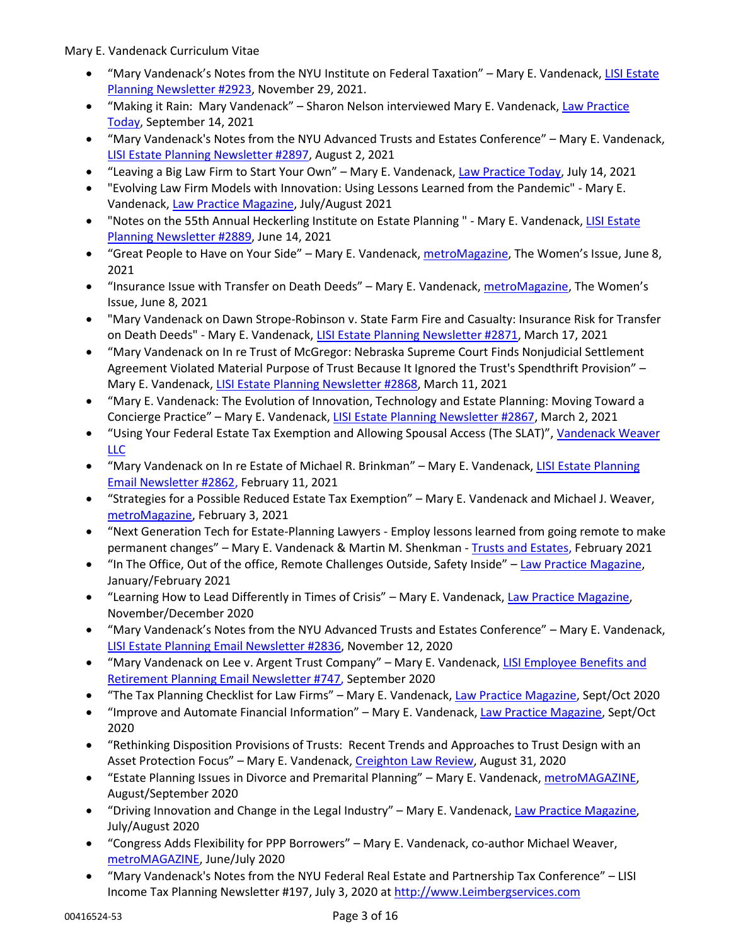- "Mary Vandenack's Notes from the NYU Institute on Federal Taxation" Mary E. Vandenack[, LISI Estate](https://www.vwattys.com/wp-content/uploads/2021/11/LISI-2923-Mary-Vandenacks-Notes-from-the-NYU-Institute-on-Federal-Taxation-2021-11-30.pdf)  [Planning Newsletter #2923,](https://www.vwattys.com/wp-content/uploads/2021/11/LISI-2923-Mary-Vandenacks-Notes-from-the-NYU-Institute-on-Federal-Taxation-2021-11-30.pdf) November 29, 2021.
- "Making it Rain: Mary Vandenack" Sharon Nelson interviewed Mary E. Vandenack, [Law Practice](https://www.lawpracticetoday.org/article/making-it-rain-mary-vandenack/)  [Today,](https://www.lawpracticetoday.org/article/making-it-rain-mary-vandenack/) September 14, 2021
- "Mary Vandenack's Notes from the NYU Advanced Trusts and Estates Conference" Mary E. Vandenack, [LISI Estate Planning Newsletter #2897,](http://www.leimbergservices.com/) August 2, 2021
- "Leaving a Big Law Firm to Start Your Own" Mary E. Vandenack, [Law Practice Today,](https://www.lawpracticetoday.org/article/leaving-big-law-to-form-your-own-firm/?utm_source=July21&utm_medium=email&utm_campaign=July21LPTemail/) July 14, 2021
- "Evolving Law Firm Models with Innovation: Using Lessons Learned from the Pandemic" Mary E. Vandenack[, Law Practice Magazine,](https://www.americanbar.org/groups/law_practice/publications/law_practice_magazine/2021/ja21/vandenack/) July/August 2021
- "Notes on the 55th Annual Heckerling Institute on Estate Planning " Mary E. Vandenack, LISI Estate [Planning Newsletter #2889,](https://new.leimbergservices.com/all/LISIMatakVandenackShenkmanPDF6_14_2021.pdf) June 14, 2021
- "Great People to Have on Your Side" Mary E. Vandenack, [metroMagazine](https://www.spiritofomaha.com/metro-magazine/the-magazine/celebrating-women-mary-vandenack-vandenack-weaver-llc-founding-and-managing-member-vandenack-weaver-llc/article_1ffb81b8-c877-11eb-b0e1-0714d777beea.html), The Women's Issue, June 8, 2021
- "Insurance Issue with Transfer on Death Deeds" Mary E. Vandenack, [metroMagazine](https://www.spiritofomaha.com/metro-magazine/contributors/planning-matters-the-womens-issue-2021/article_ea279efa-c8a8-11eb-9645-e7024c581874.html), The Women's Issue, June 8, 2021
- "Mary Vandenack on Dawn Strope-Robinson v. State Farm Fire and Casualty: Insurance Risk for Transfer on Death Deeds" - Mary E. Vandenack, [LISI Estate Planning Newsletter #2871,](https://www.vwattys.com/wp-content/uploads/2021/03/LISI-Estate-Plan-2871.pdf) March 17, 2021
- "Mary Vandenack on In re Trust of McGregor: Nebraska Supreme Court Finds Nonjudicial Settlement Agreement Violated Material Purpose of Trust Because It Ignored the Trust's Spendthrift Provision" – Mary E. Vandenack, [LISI Estate Planning Newsletter #2868,](https://www.vwattys.com/wp-content/uploads/2021/04/LISI-2868.pdf) March 11, 2021
- "Mary E. Vandenack: The Evolution of Innovation, Technology and Estate Planning: Moving Toward a Concierge Practice" – Mary E. Vandenack, [LISI Estate Planning Newsletter #2867,](https://www.vwattys.com/wp-content/uploads/2021/03/Moving-Toward-a-Concierge-Practice.pdf) March 2, 2021
- "Using Your Federal Estate Tax Exemption and Allowing Spousal Access (The SLAT)", [Vandenack Weaver](https://www.vwattys.com/wp-content/uploads/2020/10/USING-YOUR-FEDERAL-ESTATE-TAX-EXEMPTION-AND-ALLOWING-SPOUSAL-ACCESS-THE-SLAT.pdf)  [LLC](https://www.vwattys.com/wp-content/uploads/2020/10/USING-YOUR-FEDERAL-ESTATE-TAX-EXEMPTION-AND-ALLOWING-SPOUSAL-ACCESS-THE-SLAT.pdf)
- "Mary Vandenack on In re Estate of Michael R. Brinkman" Mary E. Vandenack, LISI Estate Planning [Email Newsletter #2862,](https://www.vwattys.com/wp-content/uploads/2021/02/Mary-Vandenack-on-In-re-Estate-of-Michael-R.-Brinkman.pdf) February 11, 2021
- "Strategies for a Possible Reduced Estate Tax Exemption" Mary E. Vandenack and Michael J. Weaver, [metroMagazine,](https://www.spiritofomaha.com/metro-magazine/contributors/planning-matters-the-healthcare-issue-2021/article_16e9fbd4-6fff-11eb-be71-7ff3cf43c3ff.html) February 3, 2021
- "Next Generation Tech for Estate-Planning Lawyers Employ lessons learned from going remote to make permanent changes" – Mary E. Vandenack & Martin M. Shenkman - [Trusts and Estates,](https://www.vwattys.com/wp-content/uploads/2021/01/Next-Generation-Tech-for-Estate-Planning-Lawyers.pdf) February 2021
- "In The Office, Out of the office, Remote Challenges Outside, Safety Inside" [Law Practice](https://www.americanbar.org/groups/law_practice/publications/law_practice_magazine/2021/jf21/vandenacklead/) Magazine, January/February 2021
- "Learning How to Lead Differently in Times of Crisis" Mary E. Vandenack, [Law Practice](https://www.americanbar.org/groups/law_practice/publications/law_practice_magazine/2020/nd20200/ednote/) Magazine, November/December 2020
- "Mary Vandenack's Notes from the NYU Advanced Trusts and Estates Conference" Mary E. Vandenack, [LISI Estate Planning Email Newsletter #2836,](https://www.vwattys.com/wp-content/uploads/2020/11/LISI-Estate-Planning-Email-Newsletter-2836.pdf) November 12, 2020
- "Mary Vandenack on Lee v. Argent Trust Company" Mary E. Vandenack, [LISI Employee Benefits and](https://www.vwattys.com/wp-content/uploads/2020/09/LISI-Employee-Benefits-and-Retirement-Planning-Email-Newsletter-747-.pdf)  [Retirement Planning Email Newsletter #747,](https://www.vwattys.com/wp-content/uploads/2020/09/LISI-Employee-Benefits-and-Retirement-Planning-Email-Newsletter-747-.pdf) September 2020
- "The Tax Planning Checklist for Law Firms" Mary E. Vandenack, [Law Practice](https://www.americanbar.org/groups/law_practice/publications/law_practice_magazine/2020/so2020/so20vandenack/) Magazine, Sept/Oct 2020
- "Improve and Automate Financial Information" Mary E. Vandenack[, Law Practice](https://www.americanbar.org/groups/law_practice/publications/law_practice_magazine/2020/so2020/ednote/) Magazine, Sept/Oct 2020
- "Rethinking Disposition Provisions of Trusts: Recent Trends and Approaches to Trust Design with an Asset Protection Focus" - Mary E. Vandenack[, Creighton Law Review,](https://www.vwattys.com/wp-content/uploads/2020/09/Rethinking-Disposition-Provisions-of-Trusts.pdf) August 31, 2020
- "Estate Planning Issues in Divorce and Premarital Planning" Mary E. Vandenack, [metroMAGAZINE,](https://www.spiritofomaha.com/metro-magazine/contributors/planning-matters-aug-sept-2020-estate-planning-issues-in-divorce-and-premarital-planning/article_ac2f5c22-ecd1-11ea-9989-836ffba4bb1f.html) August/September 2020
- "Driving Innovation and Change in the Legal Industry" Mary E. Vandenack, [Law Practice Magazine,](https://www.americanbar.org/groups/law_practice/publications/law_practice_magazine/2020/ja2020/ednote/) July/August 2020
- "Congress Adds Flexibility for PPP Borrowers" Mary E. Vandenack, co-author Michael Weaver, [metroMAGAZINE,](https://issuu.com/metmago/docs/metromagazine-620/44) June/July 2020
- "Mary Vandenack's Notes from the NYU Federal Real Estate and Partnership Tax Conference" LISI Income Tax Planning Newsletter #197, July 3, 2020 at [http://www.Leimbergservices.com](http://www.leimbergservices.com/)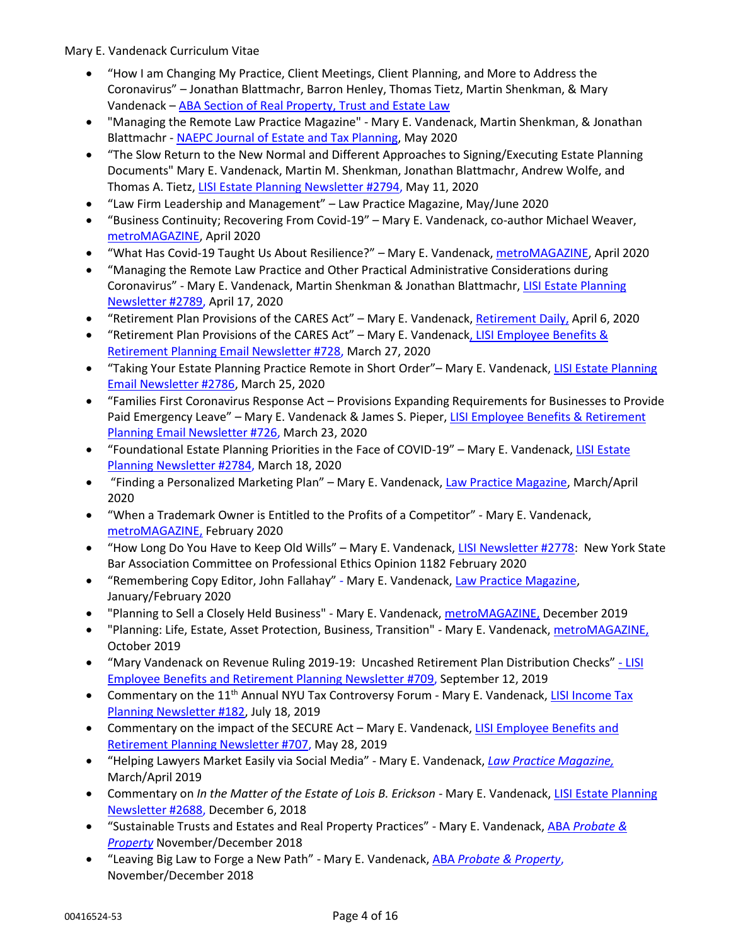- "How I am Changing My Practice, Client Meetings, Client Planning, and More to Address the Coronavirus" – Jonathan Blattmachr, Barron Henley, Thomas Tietz, Martin Shenkman, & Mary Vandenack – [ABA Section of Real Property, Trust and Estate Law](https://www.americanbar.org/groups/real_property_trust_estate/publications/ereport/rpte-ereport-spring-2020/how-i-am-changing-my-practice/)
- "Managing the Remote Law Practice Magazine" Mary E. Vandenack, Martin Shenkman, & Jonathan Blattmachr - [NAEPC Journal of Estate and Tax Planning,](http://www.naepcjournal.org/wp-content/uploads/issue34g.pdf) May 2020
- "The Slow Return to the New Normal and Different Approaches to Signing/Executing Estate Planning Documents" Mary E. Vandenack, Martin M. Shenkman, Jonathan Blattmachr, Andrew Wolfe, and Thomas A. Tietz, [LISI Estate Planning Newsletter #2794,](http://leimbergservices.com/collection/Signing%20Estate%20Plannining%20documents%20during%20COVID%20May%209%202020%20%20%20FINAL.pdf?CFID=27046464&CFTOKEN=78347396) May 11, 2020
- "Law Firm Leadership and Management" Law Practice Magazine, May/June 2020
- "Business Continuity; Recovering From Covid-19" Mary E. Vandenack, co-author Michael Weaver, [metroMAGAZINE,](https://issuu.com/metmago/docs/metromagazine-420/36) April 2020
- "What Has Covid-19 Taught Us About Resilience?" Mary E. Vandenack, [metroMAGAZINE,](https://issuu.com/metmago/docs/metromagazine-420/34) April 2020
- "Managing the Remote Law Practice and Other Practical Administrative Considerations during Coronavirus" - Mary E. Vandenack, Martin Shenkman & Jonathan Blattmachr, [LISI Estate Planning](https://www.vwattys.com/wp-content/uploads/2020/04/LISI-Estate-Planning-Newsletter-2789.pdf)  [Newsletter #2789,](https://www.vwattys.com/wp-content/uploads/2020/04/LISI-Estate-Planning-Newsletter-2789.pdf) April 17, 2020
- "Retirement Plan Provisions of the CARES Act" Mary E. Vandenack, [Retirement Daily,](https://www.vwattys.com/wp-content/uploads/2020/04/Vandenack-Retirement-Plan-Provisions-of-the-CARES-Act.pdf) April 6, 2020
- "Retirement Plan Provisions of the CARES Act" Mary E. Vandenac[k, LISI Employee Benefits &](https://www.vwattys.com/wp-content/uploads/2020/03/LISI-Employee-Benefits-and-Retirement-Planning-Newsletter-728.pdf)  [Retirement Planning Email Newsletter #728,](https://www.vwattys.com/wp-content/uploads/2020/03/LISI-Employee-Benefits-and-Retirement-Planning-Newsletter-728.pdf) March 27, 2020
- "Taking Your Estate Planning Practice Remote in Short Order"– Mary E. Vandenack, [LISI Estate Planning](https://www.vwattys.com/wp-content/uploads/2020/05/LISI-Estate-Plan-Newsletter-2786.pdf)  [Email Newsletter #2786,](https://www.vwattys.com/wp-content/uploads/2020/05/LISI-Estate-Plan-Newsletter-2786.pdf) March 25, 2020
- "Families First Coronavirus Response Act Provisions Expanding Requirements for Businesses to Provide Paid Emergency Leave" – Mary E. Vandenack & James S. Pieper, [LISI Employee Benefits & Retirement](https://www.vwattys.com/wp-content/uploads/2020/03/LISI-Employee-Benefits-Retirement-Planning-Mary-Vandenack-James-Pieper-on-Families-First-Coronavirus-Response-Act-3-23-20.pdf)  [Planning Email Newsletter #726,](https://www.vwattys.com/wp-content/uploads/2020/03/LISI-Employee-Benefits-Retirement-Planning-Mary-Vandenack-James-Pieper-on-Families-First-Coronavirus-Response-Act-3-23-20.pdf) March 23, 2020
- "Foundational [Estate](https://leimbergservices.com/all/LISIVandenackPDF3_18_2020.pdf) Planning Priorities in the Face of COVID-19" Mary E. Vandenack, LISI Estate [Planning Newsletter #2784, M](https://leimbergservices.com/all/LISIVandenackPDF3_18_2020.pdf)arch 18, 2020
- "Finding a Personalized Marketing Plan" Mary E. Vandenack, [Law Practice Magazine,](https://www.americanbar.org/groups/law_practice/publications/law_practice_magazine/2020/ma2020/ma20ednote/) March/April 2020
- "When a Trademark Owner is Entitled to the Profits of a Competitor" Mary E. Vandenack, [metroMAGAZINE,](https://issuu.com/metmago/docs/metromagazine-feb2020/40) February 2020
- "How Long Do You Have to Keep Old Wills" Mary E. Vandenack, [LISI Newsletter #2778:](https://www.vwattys.com/vwnews/steve-leimbergs-estate-planning-email-newsletter-archive-message-2778/) New York State Bar Association Committee on Professional Ethics Opinion 1182 February 2020
- "Remembering Copy Editor, John Fallahay" Mary E. Vandenack, [Law Practice Magazine,](https://www.americanbar.org/groups/law_practice/publications/law_practice_magazine/2020/jf2020/jf20ednote/) January/February 2020
- "Planning to Sell a Closely Held Business" Mary E. Vandenack, [metroMAGAZINE,](https://issuu.com/metmago/docs/metromag-1219?fr=sZjliOTU2MTMzOA) December 2019
- "Planning: Life, Estate, Asset Protection, Business, Transition" Mary E. Vandenack, [metroMAGAZINE,](https://issuu.com/metmago/docs/metromagazine-1019?fr=sOGE4NDkxMTI5) October 2019
- "Mary Vandenack on Revenue Ruling 2019-19: Uncashed Retirement Plan Distribution Checks" [LISI](https://leimbergservices.com/all/LISIVandenackPDF9_12_2019.pdf)  [Employee Benefits and Retirement Planning Newsletter #709,](https://leimbergservices.com/all/LISIVandenackPDF9_12_2019.pdf) September 12, 2019
- Commentary on the 11<sup>th</sup> Annual NYU Tax Controversy Forum Mary E. Vandenack, LISI Income Tax [Planning Newsletter #182,](https://leimbergservices.com/all/LISIVandenackPDF7_18_2019.pdf) July 18, 2019
- Commentary on the impact of the SECURE Act Mary E. Vandenack, LISI Employee Benefits and [Retirement Planning Newsletter #707, M](http://leimbergservices.com/all/LISIVandenackPDF5_28_2019.pdf)ay 28, 2019
- "Helping Lawyers Market Easily via Social Media" Mary E. Vandenack, *[Law Practice Magazine,](http://dashboard.mazsystems.com/webreader/59923?page=74)* March/April 2019
- Commentary on *In the Matter of the Estate of Lois B. Erickson -* Mary E. Vandenack, [LISI Estate Planning](http://leimbergservices.com/all/LISIVandenackPDF212_6_2018.pdf)  [Newsletter #2688,](http://leimbergservices.com/all/LISIVandenackPDF212_6_2018.pdf) December 6, 2018
- "Sustainable Trusts and Estates and Real Property Practices" Mary E. Vandenack, ABA *[Probate &](https://www.americanbar.org/groups/real_property_trust_estate/publications/probate-property-magazine/2018/november-december-2018/sustainable-trusts-and-estates-and-real-property-practices/)  [Property](https://www.americanbar.org/groups/real_property_trust_estate/publications/probate-property-magazine/2018/november-december-2018/sustainable-trusts-and-estates-and-real-property-practices/)* November/December 2018
- "Leaving Big Law to Forge a New Path" Mary E. Vandenack, ABA *[Probate & Property](https://www.americanbar.org/groups/real_property_trust_estate/publications/probate-property-magazine/2018/november-december-2018/leaving-big-law-forge-new-path/)*, November/December 2018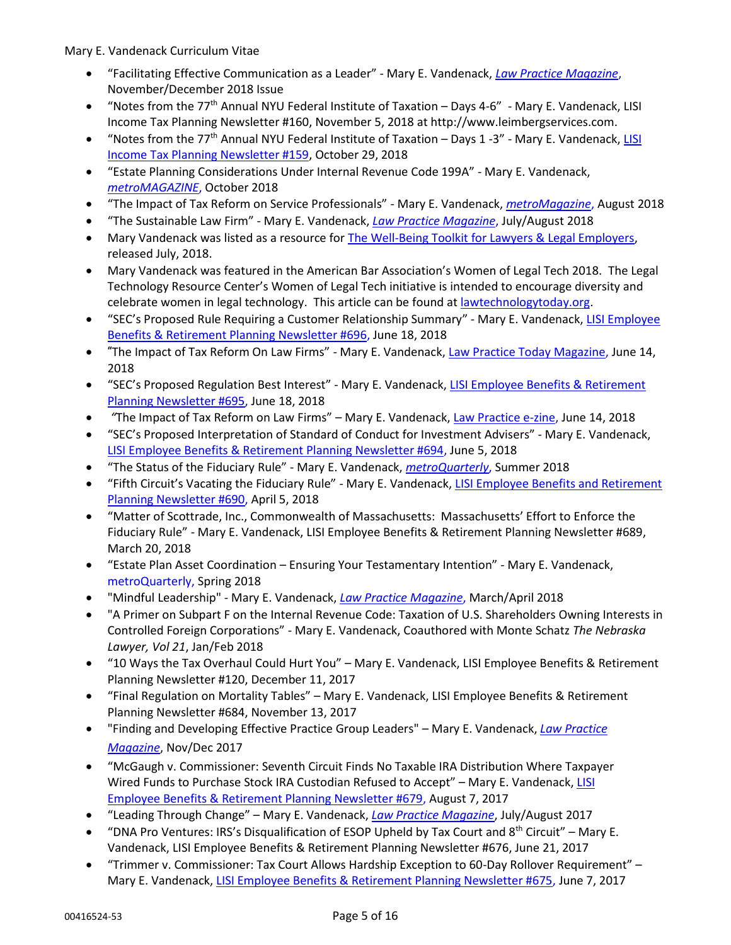- "Facilitating Effective Communication as a Leader" Mary E. Vandenack, *[Law Practice Magazine](http://dashboard.mazsystems.com/webreader/58200?page=78)*, November/December 2018 Issue
- "Notes from the 77<sup>th</sup> Annual NYU Federal Institute of Taxation Days 4-6" Mary E. Vandenack, LISI Income Tax Planning Newsletter #160, November 5, 2018 at http://www.leimbergservices.com.
- "Notes from the 77<sup>th</sup> Annual NYU Federal Institute of Taxation Days 1 -3" Mary E. Vandenack, LISI [Income Tax Planning Newsletter #159,](http://leimbergservices.com/all/LISIVandenackPDF11_1_2018%20.pdf) October 29, 2018
- "Estate Planning Considerations Under Internal Revenue Code 199A" Mary E. Vandenack, *[metroMAGAZINE](https://issuu.com/metmago/docs/metromag-1018/40)*, October 2018
- "The Impact of Tax Reform on Service Professionals" Mary E. Vandenack, *[metroMagazine](https://issuu.com/metmago/docs/metromagazine-aug2018/42)*, August 2018
- "The Sustainable Law Firm" Mary E. Vandenack, *[Law Practice Magazine](http://dashboard.mazsystems.com/webreader/56442?page=52)*, July/August 2018
- Mary Vandenack was listed as a resource for [The Well-Being Toolkit for Lawyers & Legal Employers,](https://lnkd.in/eRKzJRD) released July, 2018.
- Mary Vandenack was featured in the American Bar Association's Women of Legal Tech 2018. The Legal Technology Resource Center's Women of Legal Tech initiative is intended to encourage diversity and celebrate women in legal technology. This article can be found a[t lawtechnologytoday.org.](http://www.lawtechnologytoday.org/2018/06/women-legal-tech-mary-vandenack/)
- "SEC's Proposed Rule Requiring a Customer Relationship Summary" Mary E. Vandenack, [LISI Employee](http://leimbergservices.com/all/LISIVandenackPDF6_18_2018.pdf)  [Benefits & Retirement Planning Newsletter #696,](http://leimbergservices.com/all/LISIVandenackPDF6_18_2018.pdf) June 18, 2018
- "The Impact of Tax Reform On Law Firms" Mary E. Vandenack, [Law Practice Today Magazine,](https://www.lawpracticetoday.org/article/impact-tax-reform-law-firms/?utm_source=June18&utm_medium=email&utm_campaign=June18LPTemail) June 14, 2018
- "SEC's Proposed Regulation Best Interest" Mary E. Vandenack, [LISI Employee Benefits & Retirement](http://leimbergservices.com/all/LISIVandenackPDF6_18_2018.pdf)  [Planning Newsletter #695,](http://leimbergservices.com/all/LISIVandenackPDF6_18_2018.pdf) June 18, 2018
- *"*The Impact of Tax Reform on Law Firms" Mary E. Vandenack, [Law Practice e-zine,](https://www.lawpracticetoday.org/article/impact-tax-reform-law-firms/?utm_source=June18&utm_medium=email&utm_campaign=June18LPTemail) June 14, 2018
- "SEC's Proposed Interpretation of Standard of Conduct for Investment Advisers" Mary E. Vandenack, [LISI Employee Benefits & Retirement Planning Newsletter #694,](http://leimbergservices.com/all/LISIVandenackPDF6_5_2018.pdf) June 5, 2018
- "The Status of the Fiduciary Rule" Mary E. Vandenack, *[metroQuarterly](https://issuu.com/metmago/docs/mquarterly-summer2018/40)*, Summer 2018
- "Fifth Circuit's Vacating the Fiduciary Rule" Mary E. Vandenack, [LISI Employee Benefits and Retirement](http://leimbergservices.com/all/LISIVandenackPDF4_5_2018.pdf)  [Planning Newsletter #690,](http://leimbergservices.com/all/LISIVandenackPDF4_5_2018.pdf) April 5, 2018
- "Matter of Scottrade, Inc., Commonwealth of Massachusetts: Massachusetts' Effort to Enforce the Fiduciary Rule" - Mary E. Vandenack, LISI Employee Benefits & Retirement Planning Newsletter #689, March 20, 2018
- "Estate Plan Asset Coordination Ensuring Your Testamentary Intention" Mary E. Vandenack, [metroQuarterly,](https://issuu.com/metmago/docs/mquarterly-spring2018/44) Spring 2018
- "Mindful Leadership" Mary E. Vandenack, *[Law Practice Magazine](http://dashboard.mazsystems.com/webreader/54583?page=78)*, March/April 2018
- "A Primer on Subpart F on the Internal Revenue Code: Taxation of U.S. Shareholders Owning Interests in Controlled Foreign Corporations" - Mary E. Vandenack, Coauthored with Monte Schatz *The Nebraska Lawyer, Vol 21*, Jan/Feb 2018
- "10 Ways the Tax Overhaul Could Hurt You" Mary E. Vandenack, LISI Employee Benefits & Retirement Planning Newsletter #120, December 11, 2017
- "Final Regulation on Mortality Tables" Mary E. Vandenack, LISI Employee Benefits & Retirement Planning Newsletter #684, November 13, 2017
- "Finding and Developing Effective Practice Group Leaders" Mary E. Vandenack, *[Law Practice](http://dashboard.mazsystems.com/webreader/52594?page=78)  [Magazine](http://dashboard.mazsystems.com/webreader/52594?page=78)*, Nov/Dec 2017
- "McGaugh v. Commissioner: Seventh Circuit Finds No Taxable IRA Distribution Where Taxpayer Wired Funds to Purchase Stock IRA Custodian Refused to Accept" – Mary E. Vandenack, [LISI](http://leimbergservices.com/all/LISIVandenackPDF8_7_2017.pdf)  [Employee Benefits & Retirement Planning Newsletter #679,](http://leimbergservices.com/all/LISIVandenackPDF8_7_2017.pdf) August 7, 2017
- "Leading Through Change" Mary E. Vandenack, *[Law Practice Magazine](http://dashboard.mazsystems.com/webreader/50455?page=78)*, July/August 2017
- "DNA Pro Ventures: IRS's Disqualification of ESOP Upheld by Tax Court and  $8<sup>th</sup>$  Circuit" Mary E. Vandenack, LISI Employee Benefits & Retirement Planning Newsletter #676, June 21, 2017
- "Trimmer v. Commissioner: Tax Court Allows Hardship Exception to 60-Day Rollover Requirement" Mary E. Vandenack, [LISI Employee Benefits & Retirement Planning Newsletter #675,](http://leimbergservices.com/all/LISIVandenackPDFVersion.pdf) June 7, 2017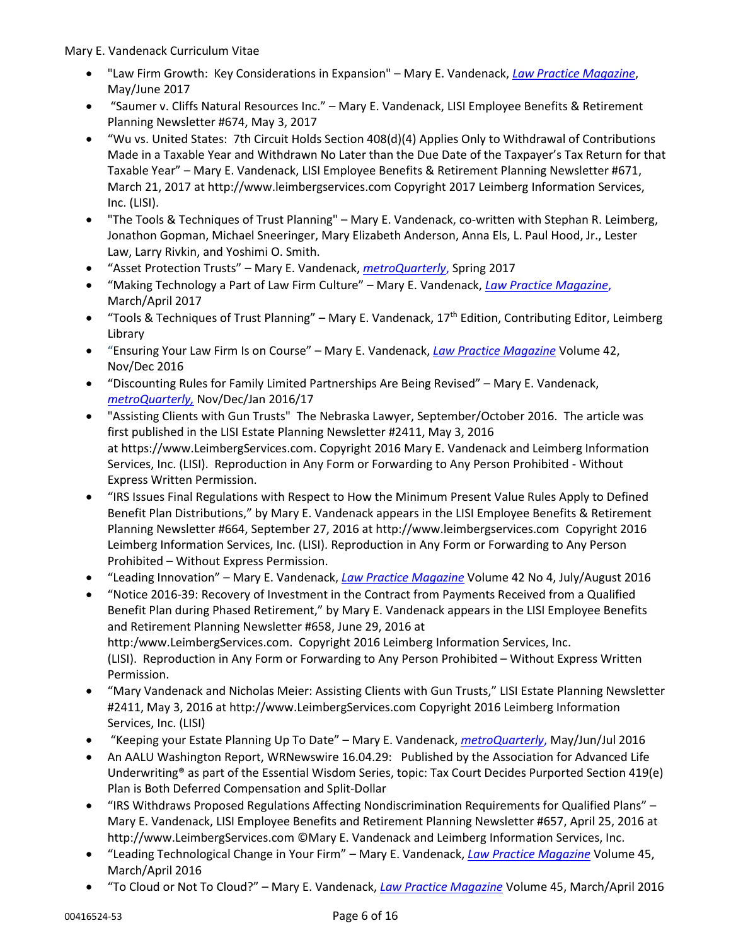- "Law Firm Growth: Key Considerations in Expansion" Mary E. Vandenack, *[Law Practice Magazine](http://dashboard.mazsystems.com/webreader/49127?page=36)*, May/June 2017
- "Saumer v. Cliffs Natural Resources Inc." Mary E. Vandenack, LISI Employee Benefits & Retirement Planning Newsletter #674, May 3, 2017
- "Wu vs. United States: 7th Circuit Holds Section 408(d)(4) Applies Only to Withdrawal of Contributions Made in a Taxable Year and Withdrawn No Later than the Due Date of the Taxpayer's Tax Return for that Taxable Year" – Mary E. Vandenack, LISI Employee Benefits & Retirement Planning Newsletter #671, March 21, 2017 at http://www.leimbergservices.com Copyright 2017 Leimberg Information Services, Inc. (LISI).
- "The Tools & Techniques of Trust Planning" Mary E. Vandenack, co-written with Stephan R. Leimberg, Jonathon Gopman, Michael Sneeringer, Mary Elizabeth Anderson, Anna Els, L. Paul Hood, Jr., Lester Law, Larry Rivkin, and Yoshimi O. Smith.
- "Asset Protection Trusts" Mary E. Vandenack, *[metroQuarterly](https://issuu.com/metmago/docs/mquarterly-febmarapr2017)*, Spring 2017
- "Making Technology a Part of Law Firm Culture" Mary E. Vandenack, *[Law Practice Magazine](http://dashboard.mazsystems.com/webreader/47866?page=78)*, March/April 2017
- "Tools & Techniques of Trust Planning" Mary E. Vandenack,  $17<sup>th</sup>$  Edition, Contributing Editor, Leimberg Library
- "Ensuring Your Law Firm Is on Course" Mary E. Vandenack, *[Law Practice Magazine](http://dashboard.mazsystems.com/webreader/43952?page=78)* Volume 42, Nov/Dec 2016
- "Discounting Rules for Family Limited Partnerships Are Being Revised" Mary E. Vandenack, *[metroQuarterly,](https://issuu.com/metmago/docs/mquarterly-novdecjan-2016-17)* Nov/Dec/Jan 2016/17
- ["Assisting Clients with Gun Trusts"](http://www.vanwil.com/legal-articles-and-information/estate-planning-and-wealth-succession/assisting-clients-with-gun-trusts/) The Nebraska Lawyer, September/October 2016. The article was first published in the LISI Estate Planning Newsletter #2411, May 3, 2016 at [https://www.LeimbergServices.com.](https://www.leimbergservices.com/) Copyright 2016 Mary E. Vandenack and Leimberg Information Services, Inc. (LISI). Reproduction in Any Form or Forwarding to Any Person Prohibited - Without Express Written Permission.
- "IRS Issues Final Regulations with Respect to How the Minimum Present Value Rules Apply to Defined Benefit Plan Distributions," by Mary E. Vandenack appears in the LISI Employee Benefits & Retirement Planning Newsletter #664, September 27, 2016 at [http://www.leimbergservices.com](http://www.leimbergservices.com/) Copyright 2016 Leimberg Information Services, Inc. (LISI). Reproduction in Any Form or Forwarding to Any Person Prohibited – Without Express Permission.
- "Leading Innovation" Mary E. Vandenack, *[Law Practice Magazine](http://dashboard.mazsystems.com/webreader/39843?page=78)* Volume 42 No 4, July/August 2016
- "Notice 2016-39: Recovery of Investment in the Contract from Payments Received from a Qualified Benefit Plan during Phased Retirement," by Mary E. Vandenack appears in the LISI Employee Benefits and Retirement Planning Newsletter #658, June 29, 2016 at http:/www.LeimbergServices.com. Copyright 2016 Leimberg Information Services, Inc. (LISI). Reproduction in Any Form or Forwarding to Any Person Prohibited – Without Express Written Permission.
- "Mary Vandenack and Nicholas Meier: Assisting Clients with Gun Trusts," LISI Estate Planning Newsletter #2411, May 3, 2016 at http://www.LeimbergServices.com Copyright 2016 Leimberg Information Services, Inc. (LISI)
- "Keeping your Estate Planning Up To Date" Mary E. Vandenack, *[metroQuarterly](https://issuu.com/metmago/docs/mquarterly-summer-2016/50)*, May/Jun/Jul 2016
- An AALU Washington Report, WRNewswire 16.04.29: Published by the Association for Advanced Life Underwriting® as part of the Essential Wisdom Series, topic: Tax Court Decides Purported Section 419(e) Plan is Both Deferred Compensation and Split-Dollar
- "IRS Withdraws Proposed Regulations Affecting Nondiscrimination Requirements for Qualified Plans" Mary E. Vandenack, LISI Employee Benefits and Retirement Planning Newsletter #657, April 25, 2016 at http://www.LeimbergServices.com ©Mary E. Vandenack and Leimberg Information Services, Inc.
- "Leading Technological Change in Your Firm" Mary E. Vandenack, *[Law Practice Magazine](http://dashboard.mazsystems.com/webreader/37321?page=78)* Volume 45, March/April 2016
- "To Cloud or Not To Cloud?" Mary E. Vandenack, *[Law Practice Magazine](http://dashboard.mazsystems.com/webreader/37321?page=42)* Volume 45, March/April 2016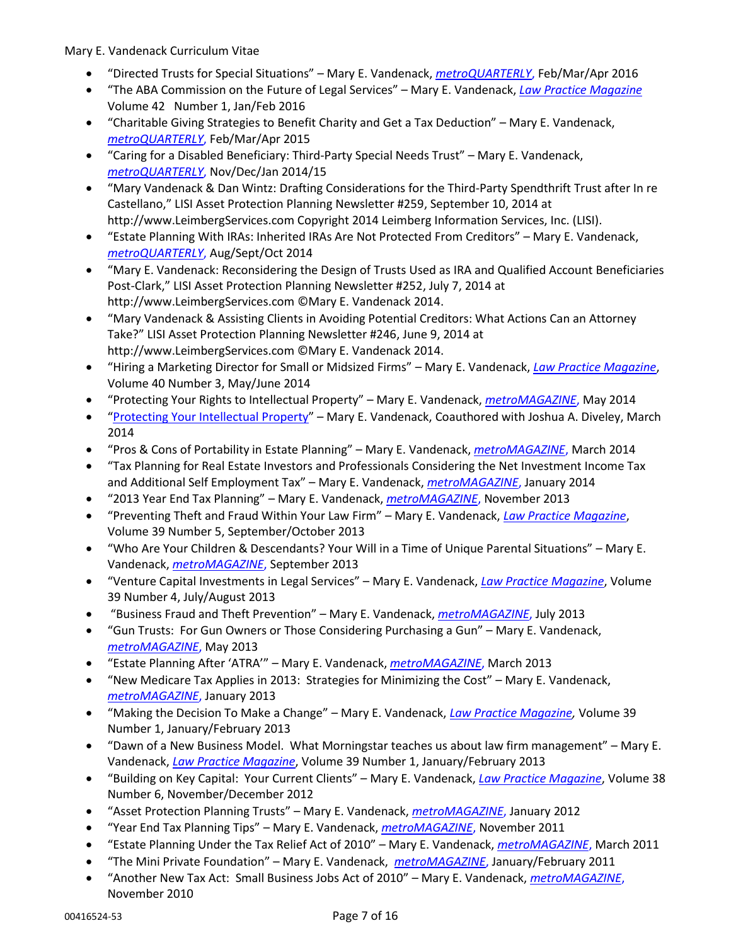- "Directed Trusts for Special Situations" Mary E. Vandenack, *[metroQUARTERLY](https://issuu.com/metmago/docs/mquarterly-spring-2016/52)*, Feb/Mar/Apr 2016
- "The ABA Commission on the Future of Legal Services" Mary E. Vandenack, *[Law Practice Magazine](http://dashboard.mazsystems.com/webreader/34871?page=14)* Volume 42 Number 1, Jan/Feb 2016
- "Charitable Giving Strategies to Benefit Charity and Get a Tax Deduction" Mary E. Vandenack, *[metroQUARTERLY](https://issuu.com/metmago/docs/mquarterly-spring2015/86)*, Feb/Mar/Apr 2015
- "Caring for a Disabled Beneficiary: Third-Party Special Needs Trust" Mary E. Vandenack, *[metroQUARTERLY](https://issuu.com/metmago/docs/mquarterly-winter2014/66)*, Nov/Dec/Jan 2014/15
- "Mary Vandenack & Dan Wintz: Drafting Considerations for the Third-Party Spendthrift Trust after In re Castellano," LISI Asset Protection Planning Newsletter #259, September 10, 2014 at http://www.LeimbergServices.com Copyright 2014 Leimberg Information Services, Inc. (LISI).
- "Estate Planning With IRAs: Inherited IRAs Are Not Protected From Creditors" Mary E. Vandenack, *[metroQUARTERLY](https://issuu.com/metmago/docs/metroquarterly-fall-2014/66)*, Aug/Sept/Oct 2014
- "Mary E. Vandenack: Reconsidering the Design of Trusts Used as IRA and Qualified Account Beneficiaries Post-Clark," LISI Asset Protection Planning Newsletter #252, July 7, 2014 at http://www.LeimbergServices.com ©Mary E. Vandenack 2014.
- "Mary Vandenack & Assisting Clients in Avoiding Potential Creditors: What Actions Can an Attorney Take?" LISI Asset Protection Planning Newsletter #246, June 9, 2014 at http://www.LeimbergServices.com ©Mary E. Vandenack 2014.
- "Hiring a Marketing Director for Small or Midsized Firms" Mary E. Vandenack, *[Law Practice Magazine](http://dashboard.mazsystems.com/webreader/31891?page=44)*, Volume 40 Number 3, May/June 2014
- "Protecting Your Rights to Intellectual Property" Mary E. Vandenack, *[metroMAGAZINE](https://issuu.com/metmago/docs/metromagazine-may-2014/30)*, May 2014
- "[Protecting Your Intellectual Property](https://www.vwattys.com/intellectual-property/protecting-your-intellectual-property/)" Mary E. Vandenack, Coauthored with Joshua A. Diveley, March 2014
- "Pros & Cons of Portability in Estate Planning" Mary E. Vandenack, *[metroMAGAZINE](https://issuu.com/metmago/docs/metromagazine-mar-2014/24)*, March 2014
- "Tax Planning for Real Estate Investors and Professionals Considering the Net Investment Income Tax and Additional Self Employment Tax" – Mary E. Vandenack, *[metroMAGAZINE](https://issuu.com/metmago/docs/metromagazine-jan-2014/22)*, January 2014
- "2013 Year End Tax Planning" Mary E. Vandenack, *[metroMAGAZINE](https://issuu.com/metmago/docs/metromagazine-nov-2013/23?e=1297404/5424351)*, November 2013
- "Preventing Theft and Fraud Within Your Law Firm" Mary E. Vandenack, *[Law Practice Magazine](http://dashboard.mazsystems.com/webreader/31887?page=66)*, Volume 39 Number 5, September/October 2013
- "Who Are Your Children & Descendants? Your Will in a Time of Unique Parental Situations" Mary E. Vandenack, *[metroMAGAZINE](https://issuu.com/metmago/docs/metromagazine-sep-2013/27?e=1297404/4589818)*, September 2013
- "Venture Capital Investments in Legal Services" Mary E. Vandenack, *[Law Practice Magazine](http://dashboard.mazsystems.com/webreader/31885?page=66)*, Volume 39 Number 4, July/August 2013
- "Business Fraud and Theft Prevention" Mary E. Vandenack, *[metroMAGAZINE](https://issuu.com/metmago/docs/metromagazine-jul-2013/27?e=1297404/3757793)*, July 2013
- "Gun Trusts: For Gun Owners or Those Considering Purchasing a Gun" Mary E. Vandenack, *[metroMAGAZINE](https://issuu.com/metmago/docs/metromagazine-may-2013/23?e=1297404/2601103)*, May 2013
- "Estate Planning After 'ATRA'" Mary E. Vandenack, *[metroMAGAZINE](https://issuu.com/metmago/docs/metromagazine-mar-2013/39?e=1297404/2977399)*, March 2013
- "New Medicare Tax Applies in 2013: Strategies for Minimizing the Cost" Mary E. Vandenack, *[metroMAGAZINE](https://issuu.com/metmago/docs/metromagazine-jan-2013/15?e=1297404/2645573)*, January 2013
- "Making the Decision To Make a Change" Mary E. Vandenack, *[Law Practice Magazine,](http://dashboard.mazsystems.com/webreader/31882?page=56)* Volume 39 Number 1, January/February 2013
- "Dawn of a New Business Model. What Morningstar teaches us about law firm management" Mary E. Vandenack, *[Law Practice Magazine](http://dashboard.mazsystems.com/webreader/31882?page=32)*, Volume 39 Number 1, January/February 2013
- "Building on Key Capital: Your Current Clients" Mary E. Vandenack, *[Law Practice Magazine](http://dashboard.mazsystems.com/webreader/31881?page=58)*, Volume 38 Number 6, November/December 2012
- "Asset Protection Planning Trusts" Mary E. Vandenack, *[metroMAGAZINE](https://issuu.com/metmago/docs/metromagazine-month-2012/25?e=1297404/3174888)*, January 2012
- "Year End Tax Planning Tips" Mary E. Vandenack, *[metroMAGAZINE](https://issuu.com/metmago/docs/metromagazine-november-2011/31?e=1297404/3100544)*, November 2011
- "Estate Planning Under the Tax Relief Act of 2010" Mary E. Vandenack, *[metroMAGAZINE](https://issuu.com/metmago/docs/metromagazine-march-2011/49?e=1297404/33991661)*, March 2011
- "The Mini Private Foundation" Mary E. Vandenack, *[metroMAGAZINE](https://issuu.com/metmago/docs/metromagazine-jan-feb-2011/51?e=1297404/33990775)*, January/February 2011
- "Another New Tax Act: Small Business Jobs Act of 2010" Mary E. Vandenack, *[metroMAGAZINE](https://issuu.com/metmago/docs/metromagazine-november-2010/25?e=1297404/33991672)*, November 2010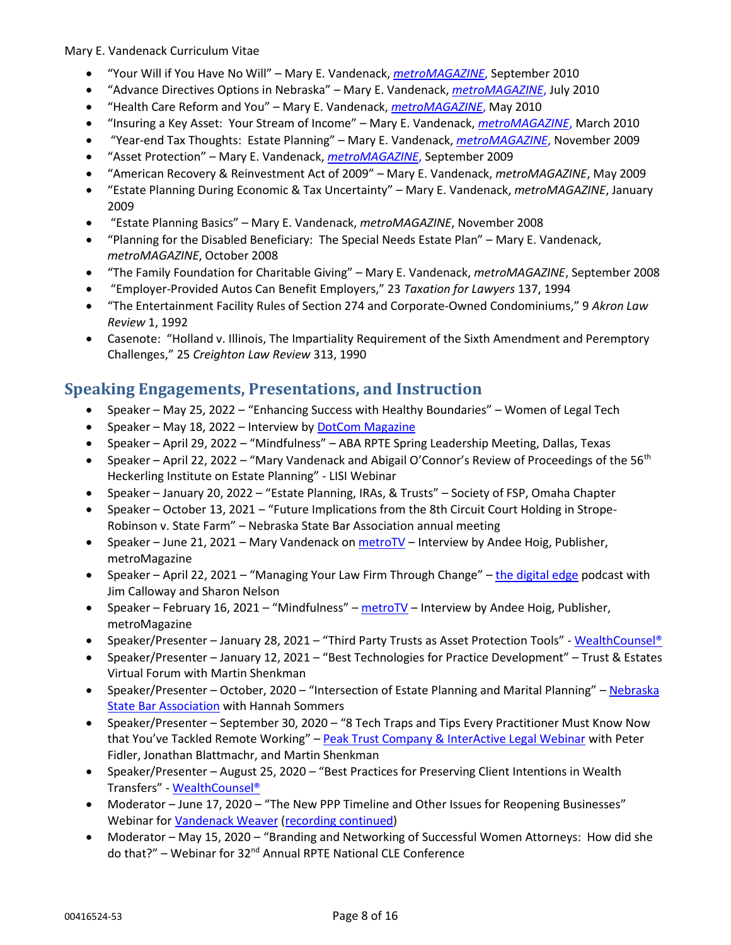- "Your Will if You Have No Will" Mary E. Vandenack, *[metroMAGAZINE](https://issuu.com/metmago/docs/metmago-september2-2010/57?e=1297404/33991689)*, September 2010
- "Advance Directives Options in Nebraska" Mary E. Vandenack, *[metroMAGAZINE](https://issuu.com/metmago/docs/metmago-july-2010/27?e=1297404/8439944)*, July 2010
- "Health Care Reform and You" Mary E. Vandenack, *[metroMAGAZINE](https://issuu.com/metmago/docs/metmago-may-2010/23?e=1297404/5753563)*, May 2010
- "Insuring a Key Asset: Your Stream of Income" Mary E. Vandenack, *[metroMAGAZINE](https://issuu.com/metmago/docs/metromag-march-2010/23?e=1297404/10742267)*, March 2010
- "Year-end Tax Thoughts: Estate Planning" Mary E. Vandenack, *[metroMAGAZINE](https://issuu.com/metmago/docs/metmago-november-09/29?e=1297404/14706467)*, November 2009
- "Asset Protection" Mary E. Vandenack, *[metroMAGAZINE](https://issuu.com/metmago/docs/metmago-september-09/55?e=1297404/13172711)*, September 2009
- "American Recovery & Reinvestment Act of 2009" Mary E. Vandenack, *metroMAGAZINE*, May 2009
- "Estate Planning During Economic & Tax Uncertainty" Mary E. Vandenack, *metroMAGAZINE*, January 2009
- "Estate Planning Basics" Mary E. Vandenack, *metroMAGAZINE*, November 2008
- "Planning for the Disabled Beneficiary: The Special Needs Estate Plan" Mary E. Vandenack, *metroMAGAZINE*, October 2008
- "The Family Foundation for Charitable Giving" Mary E. Vandenack, *metroMAGAZINE*, September 2008
- "Employer-Provided Autos Can Benefit Employers," 23 *Taxation for Lawyers* 137, 1994
- "The Entertainment Facility Rules of Section 274 and Corporate-Owned Condominiums," 9 *Akron Law Review* 1, 1992
- Casenote: "Holland v. Illinois, The Impartiality Requirement of the Sixth Amendment and Peremptory Challenges," 25 *Creighton Law Review* 313, 1990

# **Speaking Engagements, Presentations, and Instruction**

- Speaker May 25, 2022 "Enhancing Success with Healthy Boundaries" Women of Legal Tech
- Speaker May 18, 2022 Interview b[y DotCom Magazine](https://bixel4.net/v1/t/c/ed9a51b7-fa64-e9a9-7721-a188adc5b26e/gm%3A642963fd-6b55-4400-90ac-76067b99d5f7/cheri%40duryeastrategicmarketing.com/?https%3A%2F%2Fwww.dotcommagazine.com%2F2022%2F05%2Fmary-e-vandenack-ceo-founding-member-vandenack-weaver-truhlsen-a-dotcom-magazine-interview%2F=)
- Speaker April 29, 2022 "Mindfulness" ABA RPTE Spring Leadership Meeting, Dallas, Texas
- Speaker April 22, 2022 "Mary Vandenack and Abigail O'Connor's Review of Proceedings of the 56<sup>th</sup> Heckerling Institute on Estate Planning" - LISI Webinar
- Speaker January 20, 2022 "Estate Planning, IRAs, & Trusts" Society of FSP, Omaha Chapter
- Speaker October 13, 2021 "Future Implications from the 8th Circuit Court Holding in Strope-Robinson v. State Farm" – Nebraska State Bar Association annual meeting
- Speaker June 21, 2021 Mary Vandenack o[n metroTV](https://www.youtube.com/watch?v=QjsG5Jbi5QM) Interview by Andee Hoig, Publisher, metroMagazine
- Speaker April 22, 2021 "Managing Your Law Firm Through Change" [the digital edge](https://legaltalknetwork.com/podcasts/digital-edge/2021/04/managing-your-law-firm-through-change/) podcast with Jim Calloway and Sharon Nelson
- Speaker February 16, 2021 "Mindfulness" [metroTV](https://www.youtube.com/watch?v=xR2KOpFE2oE) Interview by Andee Hoig, Publisher, metroMagazine
- Speaker/Presenter January 28, 2021 "Third Party Trusts as Asset Protection Tools" [WealthCounsel®](https://youtu.be/fjRqME6l77I)
- Speaker/Presenter January 12, 2021 "Best Technologies for Practice Development" Trust & Estates Virtual Forum with Martin Shenkman
- Speaker/Presenter October, 2020 "Intersection of Estate Planning and Marital Planning" Nebraska **[State Bar Association](https://youtu.be/avpL5xP0Tog) with Hannah Sommers**
- Speaker/Presenter September 30, 2020 "8 Tech Traps and Tips Every Practitioner Must Know Now that You've Tackled Remote Working" – [Peak Trust Company & InterActive Legal Webinar](https://vimeo.com/463426313) with Peter Fidler, Jonathan Blattmachr, and Martin Shenkman
- Speaker/Presenter August 25, 2020 "Best Practices for Preserving Client Intentions in Wealth Transfers" - [WealthCounsel®](https://youtu.be/MJq44BnuIo8)
- Moderator June 17, 2020 "The New PPP Timeline and Other Issues for Reopening Businesses" Webinar fo[r Vandenack Weaver](https://www.youtube.com/watch?v=JXV4m1zw3TI) [\(recording continued\)](https://www.youtube.com/watch?v=N34DK_4F6YQ&t=54s)
- Moderator May 15, 2020 "Branding and Networking of Successful Women Attorneys: How did she do that?" - Webinar for 32<sup>nd</sup> Annual RPTE National CLE Conference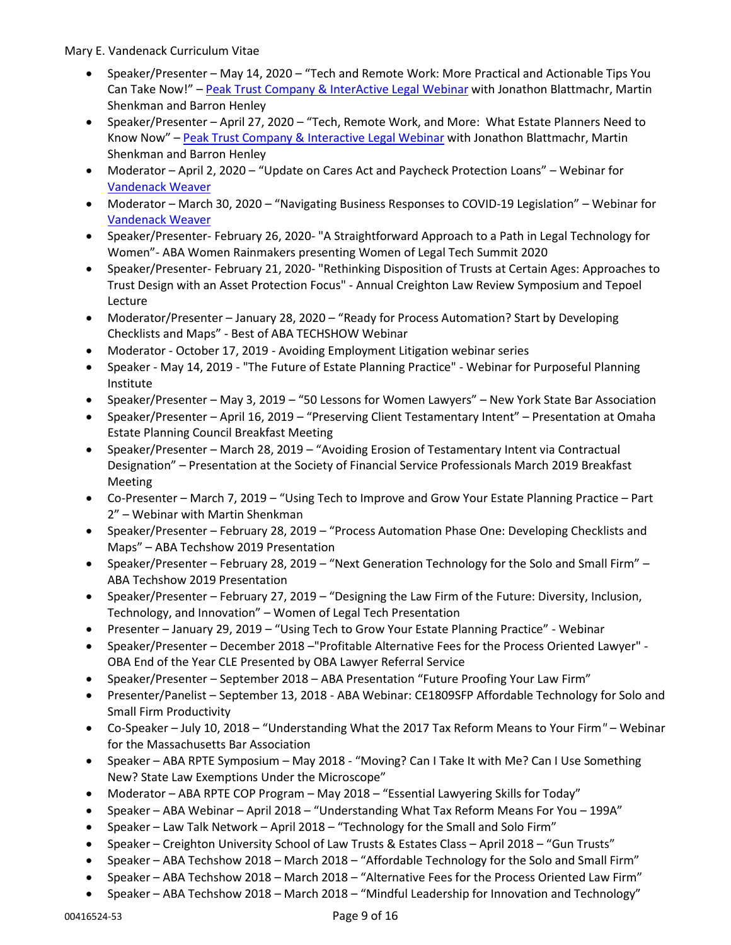- Speaker/Presenter May 14, 2020 "Tech and Remote Work: More Practical and Actionable Tips You Can Take Now!" – [Peak Trust Company & InterActive Legal Webinar](https://vimeo.com/418924143) with Jonathon Blattmachr, Martin Shenkman and Barron Henley
- Speaker/Presenter April 27, 2020 "Tech, Remote Work, and More: What Estate Planners Need to Know Now" - [Peak Trust Company & Interactive Legal Webinar](https://vimeo.com/412725924) with Jonathon Blattmachr, Martin Shenkman and Barron Henley
- Moderator April 2, 2020 "Update on Cares Act and Paycheck Protection Loans" Webinar for [Vandenack Weaver](https://www.youtube.com/watch?v=gE3YE5udR3Q)
- Moderator March 30, 2020 "Navigating Business Responses to COVID-19 Legislation" Webinar for [Vandenack Weaver](https://www.youtube.com/watch?v=ktwwV2HmGrw)
- Speaker/Presenter- February 26, 2020- "A Straightforward Approach to a Path in Legal Technology for Women"- ABA Women Rainmakers presenting Women of Legal Tech Summit 2020
- Speaker/Presenter- February 21, 2020- "Rethinking Disposition of Trusts at Certain Ages: Approaches to Trust Design with an Asset Protection Focus" - Annual Creighton Law Review Symposium and Tepoel Lecture
- Moderator/Presenter January 28, 2020 "Ready for Process Automation? Start by Developing Checklists and Maps" - Best of ABA TECHSHOW Webinar
- Moderator October 17, 2019 Avoiding Employment Litigation webinar series
- Speaker May 14, 2019 "The Future of Estate Planning Practice" Webinar for Purposeful Planning Institute
- Speaker/Presenter May 3, 2019 "50 Lessons for Women Lawyers" New York State Bar Association
- Speaker/Presenter April 16, 2019 "Preserving Client Testamentary Intent" Presentation at Omaha Estate Planning Council Breakfast Meeting
- Speaker/Presenter March 28, 2019 "Avoiding Erosion of Testamentary Intent via Contractual Designation" – Presentation at the Society of Financial Service Professionals March 2019 Breakfast Meeting
- Co-Presenter March 7, 2019 "Using Tech to Improve and Grow Your Estate Planning Practice Part 2" – Webinar with Martin Shenkman
- Speaker/Presenter February 28, 2019 "Process Automation Phase One: Developing Checklists and Maps" – ABA Techshow 2019 Presentation
- Speaker/Presenter February 28, 2019 "Next Generation Technology for the Solo and Small Firm" ABA Techshow 2019 Presentation
- Speaker/Presenter February 27, 2019 "Designing the Law Firm of the Future: Diversity, Inclusion, Technology, and Innovation" – Women of Legal Tech Presentation
- Presenter January 29, 2019 "Using Tech to Grow Your Estate Planning Practice" Webinar
- Speaker/Presenter December 2018 –"Profitable Alternative Fees for the Process Oriented Lawyer" OBA End of the Year CLE Presented by OBA Lawyer Referral Service
- Speaker/Presenter September 2018 ABA Presentation "Future Proofing Your Law Firm"
- Presenter/Panelist September 13, 2018 ABA Webinar: CE1809SFP Affordable Technology for Solo and Small Firm Productivity
- Co-Speaker July 10, 2018 "Understanding What the 2017 Tax Reform Means to Your Firm*"*  Webinar for the Massachusetts Bar Association
- Speaker ABA RPTE Symposium May 2018 "Moving? Can I Take It with Me? Can I Use Something New? State Law Exemptions Under the Microscope"
- Moderator ABA RPTE COP Program May 2018 "Essential Lawyering Skills for Today"
- Speaker ABA Webinar April 2018 "Understanding What Tax Reform Means For You 199A"
- Speaker Law Talk Network April 2018 "Technology for the Small and Solo Firm"
- Speaker Creighton University School of Law Trusts & Estates Class April 2018 "Gun Trusts"
- Speaker ABA Techshow 2018 March 2018 "Affordable Technology for the Solo and Small Firm"
- Speaker ABA Techshow 2018 March 2018 "Alternative Fees for the Process Oriented Law Firm"
- Speaker ABA Techshow 2018 March 2018 "Mindful Leadership for Innovation and Technology"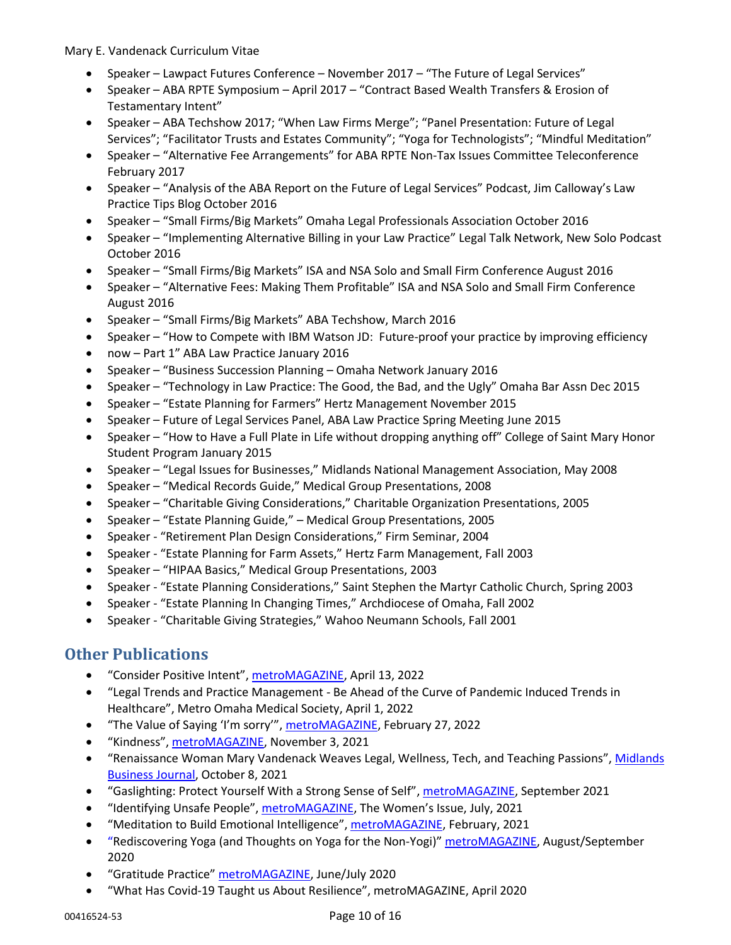- Speaker Lawpact Futures Conference November 2017 "The Future of Legal Services"
- Speaker ABA RPTE Symposium April 2017 "Contract Based Wealth Transfers & Erosion of Testamentary Intent"
- Speaker ABA Techshow 2017; "When Law Firms Merge"; "Panel Presentation: Future of Legal Services"; "Facilitator Trusts and Estates Community"; "Yoga for Technologists"; "Mindful Meditation"
- Speaker "Alternative Fee Arrangements" for ABA RPTE Non-Tax Issues Committee Teleconference February 2017
- Speaker "Analysis of the ABA Report on the Future of Legal Services" Podcast, Jim Calloway's Law Practice Tips Blog October 2016
- Speaker "Small Firms/Big Markets" Omaha Legal Professionals Association October 2016
- Speaker "Implementing Alternative Billing in your Law Practice" Legal Talk Network, New Solo Podcast October 2016
- Speaker "Small Firms/Big Markets" ISA and NSA Solo and Small Firm Conference August 2016
- Speaker "Alternative Fees: Making Them Profitable" ISA and NSA Solo and Small Firm Conference August 2016
- Speaker "Small Firms/Big Markets" ABA Techshow, March 2016
- Speaker "How to Compete with IBM Watson JD: Future-proof your practice by improving efficiency
- now Part 1" ABA Law Practice January 2016
- Speaker "Business Succession Planning Omaha Network January 2016
- Speaker "Technology in Law Practice: The Good, the Bad, and the Ugly" Omaha Bar Assn Dec 2015
- Speaker "Estate Planning for Farmers" Hertz Management November 2015
- Speaker Future of Legal Services Panel, ABA Law Practice Spring Meeting June 2015
- Speaker "How to Have a Full Plate in Life without dropping anything off" College of Saint Mary Honor Student Program January 2015
- Speaker "Legal Issues for Businesses," Midlands National Management Association, May 2008
- Speaker "Medical Records Guide," Medical Group Presentations, 2008
- Speaker "Charitable Giving Considerations," Charitable Organization Presentations, 2005
- Speaker "Estate Planning Guide," Medical Group Presentations, 2005
- Speaker "Retirement Plan Design Considerations," Firm Seminar, 2004
- Speaker "Estate Planning for Farm Assets," Hertz Farm Management, Fall 2003
- Speaker "HIPAA Basics," Medical Group Presentations, 2003
- Speaker "Estate Planning Considerations," Saint Stephen the Martyr Catholic Church, Spring 2003
- Speaker "Estate Planning In Changing Times," Archdiocese of Omaha, Fall 2002
- Speaker "Charitable Giving Strategies," Wahoo Neumann Schools, Fall 2001

# **Other Publications**

- "Consider Positive Intent", [metroMAGAZINE,](https://www.spiritofomaha.com/metro-magazine/contributors/metrospirit-with-mary-e-vandenack-apr-may-2022/article_19ab34c6-baa1-11ec-8f22-2787b4ed2026.html) April 13, 2022
- "Legal Trends and Practice Management Be Ahead of the Curve of Pandemic Induced Trends in Healthcare", Metro Omaha Medical Society, April 1, 2022
- "The Value of Saying 'I'm sorry", [metroMAGAZINE,](https://www.spiritofomaha.com/metro-magazine/contributors/metrospirit-feb-mar-2022/article_cf01914a-967e-11ec-aa80-ffa97d0dc4ef.html) February 27, 2022
- "Kindness", [metroMAGAZINE,](https://www.spiritofomaha.com/metro-magazine/contributors/metrospirit-a-milestone-in-mentoring-2021/article_2711d710-3d0a-11ec-870d-5fe3cda9f81f.html) November 3, 2021
- "Renaissance Woman Mary Vandenack Weaves Legal, Wellness, Tech, and Teaching Passions", [Midlands](https://issuu.com/mbj1/docs/100821_mbj/s/13614029)  [Business Journal,](https://issuu.com/mbj1/docs/100821_mbj/s/13614029) October 8, 2021
- "Gaslighting: Protect Yourself With a Strong Sense of Self", [metroMAGAZINE,](https://www.spiritofomaha.com/metro-magazine/contributors/metrospirit-the-healthcare-issue-2021/article_54910884-6ffe-11eb-bff9-33388c26cf17.html) September 2021
- "Identifying Unsafe People", [metroMAGAZINE](https://www.spiritofomaha.com/metro-magazine/contributors/metrospirit-the-womens-issue-2021/article_93a9ec00-c8a7-11eb-b0c7-bba40b45991c.html), The Women's Issue, July, 2021
- "Meditation to Build Emotional Intelligence", [metroMAGAZINE,](https://www.spiritofomaha.com/metro-magazine/contributors/metrospirit-the-healthcare-issue-2021/article_54910884-6ffe-11eb-bff9-33388c26cf17.html) February, 2021
- "Rediscovering Yoga (and Thoughts on Yoga for the Non-Yogi)" [metroMAGAZINE,](https://www.spiritofomaha.com/metro-magazine/contributors/metrospirit-aug-sept-2020-rediscovering-yoga-and-thoughts-on-yoga-for-the-non-yogi/article_de3679fc-ed45-11ea-a377-33575ef740a4.html) August/September 2020
- "Gratitude Practice" [metroMAGAZINE,](https://issuu.com/metmago/docs/metromagazine-620/42) June/July 2020
- "What Has Covid-19 Taught us About Resilience", metroMAGAZINE, April 2020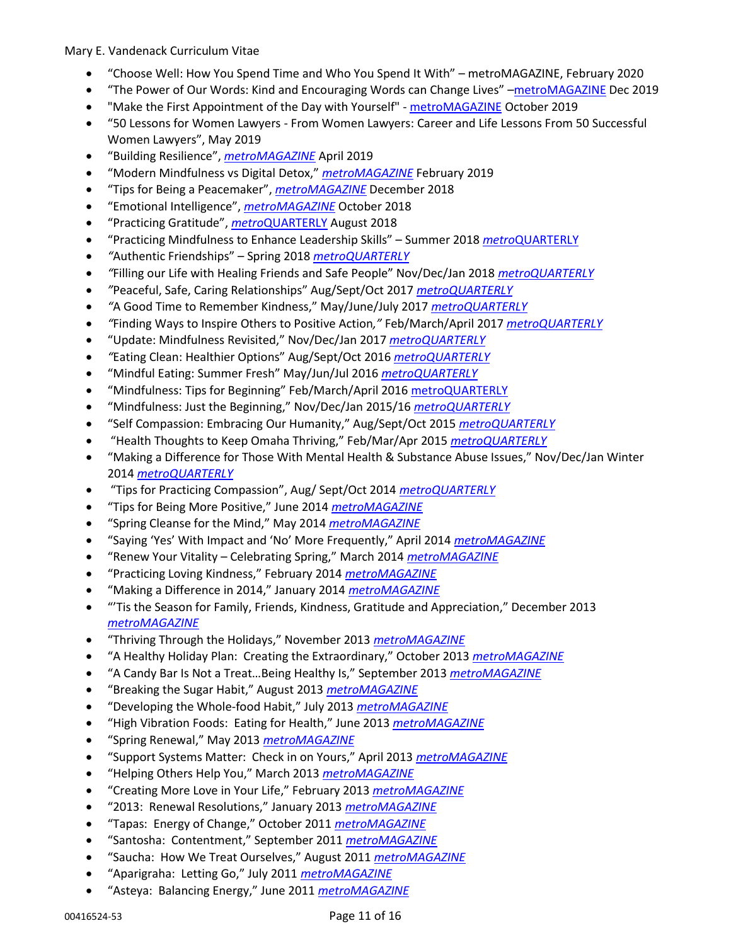- "Choose Well: How You Spend Time and Who You Spend It With" metroMAGAZINE, February 2020
- "The Power of Our Words: Kind and Encouraging Words can Change Lives" –[metroMAGAZINE](https://issuu.com/metmago/docs/metromag-1219/34) Dec 2019
- "Make the First Appointment of the Day with Yourself" [metroMAGAZINE](https://issuu.com/metmago/docs/metromagazine-1019?fr=sOGE4NDkxMTI5) October 2019
- "50 Lessons for Women Lawyers From Women Lawyers: Career and Life Lessons From 50 Successful Women Lawyers", May 2019
- "Building Resilience", *[metroMAGAZINE](https://issuu.com/metmago/docs/metromagazine-april2019?e=1297404%2F68667873%25E2%2580%258B)* April 2019
- "Modern Mindfulness vs Digital Detox," *[metroMAGAZINE](https://issuu.com/metmago/docs/metromagazine-february2019/36)* February 2019
- "Tips for Being a Peacemaker", *[metroMAGAZINE](https://issuu.com/metmago/docs/metromagazine-1218/28)* December 2018
- "Emotional Intelligence", *[metroMAGAZINE](https://issuu.com/metmago/docs/metromag-1018/38)* October 2018
- "Practicing Gratitude", *metro*[QUARTERLY](https://issuu.com/metmago/docs/metromagazine-aug2018/40) August 2018
- "Practicing Mindfulness to Enhance Leadership Skills" Summer 2018 *metro*[QUARTERLY](https://issuu.com/metmago/docs/mquarterly-summer2018/38)
- *"*Authentic Friendships" Spring 2018 *[metroQUARTERLY](https://issuu.com/metmago/docs/mquarterly-spring2018/42)*
- *"*Filling our Life with Healing Friends and Safe People" Nov/Dec/Jan 2018 *[metroQUARTERLY](https://issuu.com/metmago/docs/metromagazine-winter2017-18_/36)*
- *"*Peaceful, Safe, Caring Relationships" Aug/Sept/Oct 2017 *[metroQUARTERLY](https://issuu.com/metmago/docs/mquarterly-augseptoct-17/52)*
- *"*A Good Time to Remember Kindness," May/June/July 2017 *[metroQUARTERLY](https://issuu.com/metmago/docs/mquarterly-mayjunjuly2017/32)*
- *"*Finding Ways to Inspire Others to Positive Action*,"* Feb/March/April 2017 *[metroQUARTERLY](https://issuu.com/metmago/docs/mquarterly-febmarapr2017/42)*
- "Update: Mindfulness Revisited," Nov/Dec/Jan 2017 *[metroQUARTERLY](https://issuu.com/metmago/docs/mquarterly-novdecjan-2016-17/56)*
- *"*Eating Clean: Healthier Options" Aug/Sept/Oct 2016 *[metroQUARTERLY](https://issuu.com/metmago/docs/mquarterly-augseptoct-2016/52)*
- "Mindful Eating: Summer Fresh" May/Jun/Jul 2016 *[metroQUARTERLY](https://issuu.com/metmago/docs/mquarterly-summer-2016/46)*
- "Mindfulness: Tips for Beginning" Feb/March/April 2016 [metroQUARTERLY](https://issuu.com/metmago/docs/mquarterly-spring-2016/48)
- "Mindfulness: Just the Beginning," Nov/Dec/Jan 2015/16 *[metroQUARTERLY](https://issuu.com/metmago/docs/mqtrly-winter2015-16/42)*
- "Self Compassion: Embracing Our Humanity," Aug/Sept/Oct 2015 *[metroQUARTERLY](https://issuu.com/metmago/docs/metroquarterly-fall-2015/70)*
- "Health Thoughts to Keep Omaha Thriving," Feb/Mar/Apr 2015 *[metroQUARTERLY](https://issuu.com/metmago/docs/mquarterly-spring2015/82)*
- "Making a Difference for Those With Mental Health & Substance Abuse Issues," Nov/Dec/Jan Winter 2014 *[metroQUARTERLY](https://issuu.com/metmago/docs/mquarterly-winter2014/62)*
- "Tips for Practicing Compassion", Aug/ Sept/Oct 2014 *[metroQUARTERLY](https://issuu.com/metmago/docs/metroquarterly-fall-2014/50)*
- "Tips for Being More Positive," June 2014 *[metroMAGAZINE](https://issuu.com/metmago/docs/metromagazine-jun-2014/24)*
- "Spring Cleanse for the Mind," May 2014 *[metroMAGAZINE](https://issuu.com/metmago/docs/metromagazine-may-2014/28)*
- "Saying 'Yes' With Impact and 'No' More Frequently," April 2014 *[metroMAGAZINE](https://issuu.com/metmago/docs/metromagazine-apr-2014/34)*
- "Renew Your Vitality Celebrating Spring," March 2014 *[metroMAGAZINE](https://issuu.com/metmago/docs/metromagazine-mar-2014/18)*
- "Practicing Loving Kindness," February 2014 *[metroMAGAZINE](https://issuu.com/metmago/docs/metromagazine-feb-2014/30)*
- "Making a Difference in 2014," January 2014 *[metroMAGAZINE](https://issuu.com/metmago/docs/metromagazine-jan-2014/20)*
- "'Tis the Season for Family, Friends, Kindness, Gratitude and Appreciation," December 2013 *[metroMAGAZINE](https://issuu.com/metmago/docs/metromagazine-dec-2013/21?e=1297404/5770617)*
- "Thriving Through the Holidays," November 2013 *[metroMAGAZINE](https://issuu.com/metmago/docs/metromagazine-nov-2013/21?e=1297404/5424351)*
- "A Healthy Holiday Plan: Creating the Extraordinary," October 2013 *[metroMAGAZINE](https://issuu.com/metmago/docs/metromagazine-oct-2013/21?e=1297404/4904513)*
- "A Candy Bar Is Not a Treat…Being Healthy Is," September 2013 *[metroMAGAZINE](https://issuu.com/metmago/docs/metromagazine-sep-2013/25?e=1297404/4589818)*
- "Breaking the Sugar Habit," August 2013 *[metroMAGAZINE](https://issuu.com/metmago/docs/metromagazine-aug-2013/25?e=1297404/4237051)*
- "Developing the Whole-food Habit," July 2013 *[metroMAGAZINE](https://issuu.com/metmago/docs/metromagazine-jul-2013/25?e=1297404/3757793)*
- "High Vibration Foods: Eating for Health," June 2013 *[metroMAGAZINE](https://issuu.com/metmago/docs/metromagazine-jun-2013/21?e=1297404/2661641)*
- "Spring Renewal," May 2013 *[metroMAGAZINE](https://issuu.com/metmago/docs/metromagazine-may-2013/21?e=1297404/2601103)*
- "Support Systems Matter: Check in on Yours," April 2013 *[metroMAGAZINE](https://issuu.com/metmago/docs/metromagazine-apr-2013/25?e=1297404/2668055)*
- "Helping Others Help You," March 2013 *[metroMAGAZINE](https://issuu.com/metmago/docs/metromagazine-mar-2013/33?e=1297404/2977399)*
- "Creating More Love in Your Life," February 2013 *[metroMAGAZINE](https://issuu.com/metmago/docs/metromagazine-feb-2013/23?e=1297404/2829883)*
- "2013: Renewal Resolutions," January 2013 *[metroMAGAZINE](https://issuu.com/metmago/docs/metromagazine-jan-2013/13?e=1297404/2645573)*
- "Tapas: Energy of Change," October 2011 *[metroMAGAZINE](https://issuu.com/metmago/docs/metromagazine-october-2011/37?e=1297404/42781365)*
- "Santosha: Contentment," September 2011 *[metroMAGAZINE](https://issuu.com/metmago/docs/metromagazine-september-2011/27?e=1297404/10184897)*
- "Saucha: How We Treat Ourselves," August 2011 *[metroMAGAZINE](https://issuu.com/metmago/docs/metromagazine-august-2011/29?e=1297404/42781351)*
- "Aparigraha: Letting Go," July 2011 *[metroMAGAZINE](https://issuu.com/metmago/docs/metromagazine-july-2011/37?e=1297404/42781017)*
- "Asteya: Balancing Energy," June 2011 *[metroMAGAZINE](https://issuu.com/metmago/docs/metromagazine-june-2011/51?e=1297404/42781482)*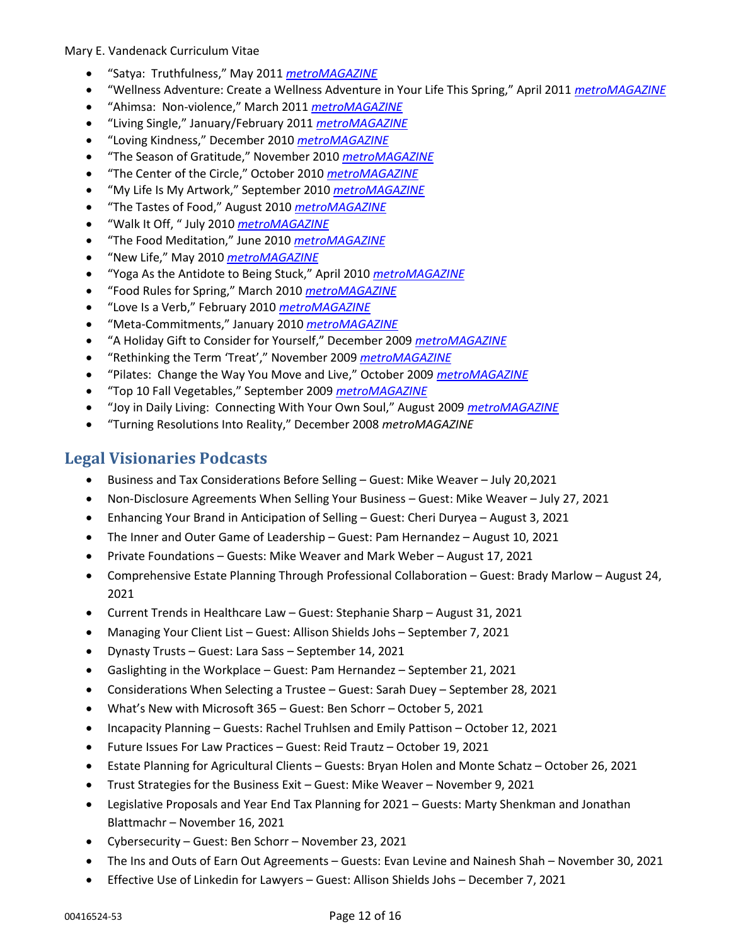- "Satya: Truthfulness," May 2011 *[metroMAGAZINE](https://issuu.com/metmago/docs/metromagazine-may-2011/51?e=1297404/42782010)*
- "Wellness Adventure: Create a Wellness Adventure in Your Life This Spring," April 2011 *[metroMAGAZINE](https://issuu.com/metmago/docs/metromagazine-april-2011/45?e=1297404/42781007)*
- "Ahimsa: Non-violence," March 2011 *[metroMAGAZINE](https://issuu.com/metmago/docs/metromagazine-march-2011/45?e=1297404/33991661)*
- "Living Single," January/February 2011 *[metroMAGAZINE](https://issuu.com/metmago/docs/metromagazine-jan-feb-2011/45?e=1297404/33990775)*
- "Loving Kindness," December 2010 *[metroMAGAZINE](https://issuu.com/metmago/docs/metromagazine-december-2010/29?e=1297404/42781042)*
- "The Season of Gratitude," November 2010 *[metroMAGAZINE](https://issuu.com/metmago/docs/metromagazine-november-2010/21?e=1297404/33991672)*
- "The Center of the Circle," October 2010 *[metroMAGAZINE](https://issuu.com/metmago/docs/metmago-october-2010/31?e=1297404/5188403)*
- "My Life Is My Artwork," September 2010 *[metroMAGAZINE](https://issuu.com/metmago/docs/metmago-september2-2010/33?e=1297404/33991689)*
- "The Tastes of Food," August 2010 *[metroMAGAZINE](https://issuu.com/metmago/docs/metmago-august-2010/27?e=1297404/42781075)*
- "Walk It Off, " July 2010 *[metroMAGAZINE](https://issuu.com/metmago/docs/metmago-july-2010/25?e=1297404/8439944)*
- "The Food Meditation," June 2010 *[metroMAGAZINE](https://issuu.com/metmago/docs/metmago-june-2010/27?e=1297404/12298936)*
- "New Life," May 2010 *[metroMAGAZINE](https://issuu.com/metmago/docs/metmago-may-2010/19?e=1297404/5753563)*
- "Yoga As the Antidote to Being Stuck," April 2010 *[metroMAGAZINE](https://issuu.com/metmago/docs/metmago-april-2010/31?e=1297404/42781277)*
- "Food Rules for Spring," March 2010 *[metroMAGAZINE](https://issuu.com/metmago/docs/metromag-march-2010/19?e=1297404/10742267)*
- "Love Is a Verb," February 2010 *[metroMAGAZINE](https://issuu.com/metmago/docs/metmago-february-2010/23?e=1297404/3731280)*
- "Meta-Commitments," January 2010 *[metroMAGAZINE](https://issuu.com/metmago/docs/jan2010-digimagoptimized2-finishedlinks/11?e=1297404/8083809)*
- "A Holiday Gift to Consider for Yourself," December 2009 *[metroMAGAZINE](https://issuu.com/metmago/docs/metmago-december-09/25?e=1297404/42781073)*
- "Rethinking the Term 'Treat'," November 2009 *[metroMAGAZINE](https://issuu.com/metmago/docs/metmago-november-09/31?e=1297404/14706467)*
- "Pilates: Change the Way You Move and Live," October 2009 *[metroMAGAZINE](https://issuu.com/metmago/docs/metmago-october-09/33?e=1297404/2635034)*
- "Top 10 Fall Vegetables," September 2009 *[metroMAGAZINE](https://issuu.com/metmago/docs/metmago-september-09/37?e=1297404/13172711)*
- "Joy in Daily Living: Connecting With Your Own Soul," August 2009 *[metroMAGAZINE](https://issuu.com/metmago/docs/metmago-august/31?e=1297404/8278316)*
- "Turning Resolutions Into Reality," December 2008 *metroMAGAZINE*

# **Legal Visionaries Podcasts**

- Business and Tax Considerations Before Selling Guest: Mike Weaver July 20,2021
- Non-Disclosure Agreements When Selling Your Business Guest: Mike Weaver July 27, 2021
- Enhancing Your Brand in Anticipation of Selling Guest: Cheri Duryea August 3, 2021
- The Inner and Outer Game of Leadership Guest: Pam Hernandez August 10, 2021
- Private Foundations Guests: Mike Weaver and Mark Weber August 17, 2021
- Comprehensive Estate Planning Through Professional Collaboration Guest: Brady Marlow August 24, 2021
- Current Trends in Healthcare Law Guest: Stephanie Sharp August 31, 2021
- Managing Your Client List Guest: Allison Shields Johs September 7, 2021
- Dynasty Trusts Guest: Lara Sass September 14, 2021
- Gaslighting in the Workplace Guest: Pam Hernandez September 21, 2021
- Considerations When Selecting a Trustee Guest: Sarah Duey September 28, 2021
- What's New with Microsoft 365 Guest: Ben Schorr October 5, 2021
- Incapacity Planning Guests: Rachel Truhlsen and Emily Pattison October 12, 2021
- Future Issues For Law Practices Guest: Reid Trautz October 19, 2021
- Estate Planning for Agricultural Clients Guests: Bryan Holen and Monte Schatz October 26, 2021
- Trust Strategies for the Business Exit Guest: Mike Weaver November 9, 2021
- Legislative Proposals and Year End Tax Planning for 2021 Guests: Marty Shenkman and Jonathan Blattmachr – November 16, 2021
- Cybersecurity Guest: Ben Schorr November 23, 2021
- The Ins and Outs of Earn Out Agreements Guests: Evan Levine and Nainesh Shah November 30, 2021
- Effective Use of Linkedin for Lawyers Guest: Allison Shields Johs December 7, 2021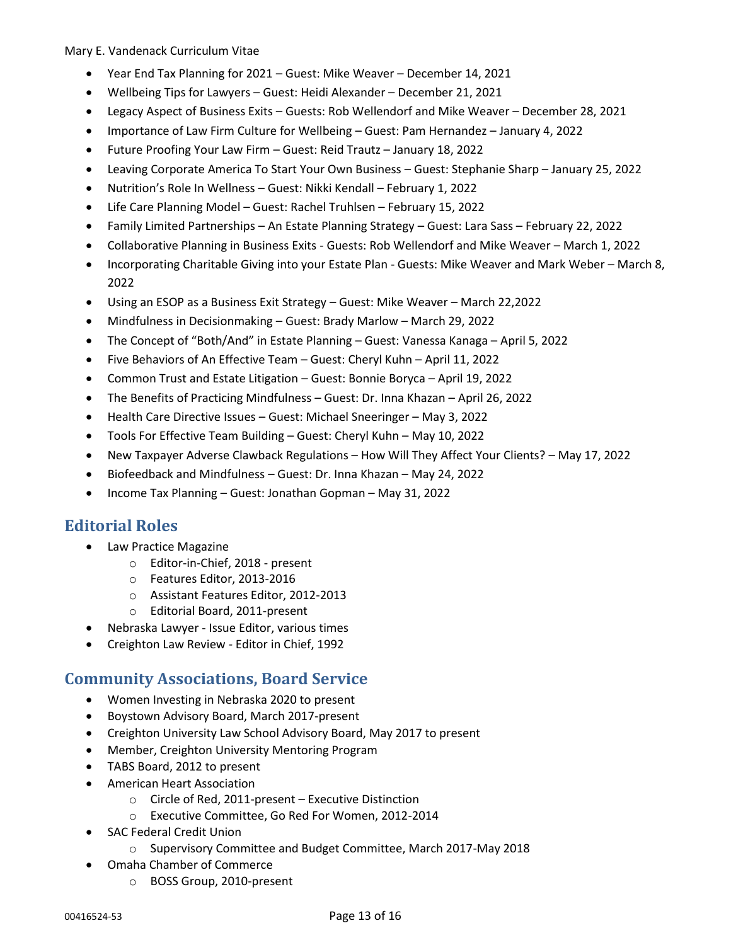- Year End Tax Planning for 2021 Guest: Mike Weaver December 14, 2021
- Wellbeing Tips for Lawyers Guest: Heidi Alexander December 21, 2021
- Legacy Aspect of Business Exits Guests: Rob Wellendorf and Mike Weaver December 28, 2021
- Importance of Law Firm Culture for Wellbeing Guest: Pam Hernandez January 4, 2022
- Future Proofing Your Law Firm Guest: Reid Trautz January 18, 2022
- Leaving Corporate America To Start Your Own Business Guest: Stephanie Sharp January 25, 2022
- Nutrition's Role In Wellness Guest: Nikki Kendall February 1, 2022
- Life Care Planning Model Guest: Rachel Truhlsen February 15, 2022
- Family Limited Partnerships An Estate Planning Strategy Guest: Lara Sass February 22, 2022
- Collaborative Planning in Business Exits Guests: Rob Wellendorf and Mike Weaver March 1, 2022
- Incorporating Charitable Giving into your Estate Plan Guests: Mike Weaver and Mark Weber March 8, 2022
- Using an ESOP as a Business Exit Strategy Guest: Mike Weaver March 22,2022
- Mindfulness in Decisionmaking Guest: Brady Marlow March 29, 2022
- The Concept of "Both/And" in Estate Planning Guest: Vanessa Kanaga April 5, 2022
- Five Behaviors of An Effective Team Guest: Cheryl Kuhn April 11, 2022
- Common Trust and Estate Litigation Guest: Bonnie Boryca April 19, 2022
- The Benefits of Practicing Mindfulness Guest: Dr. Inna Khazan April 26, 2022
- Health Care Directive Issues Guest: Michael Sneeringer May 3, 2022
- Tools For Effective Team Building Guest: Cheryl Kuhn May 10, 2022
- New Taxpayer Adverse Clawback Regulations How Will They Affect Your Clients? May 17, 2022
- Biofeedback and Mindfulness Guest: Dr. Inna Khazan May 24, 2022
- Income Tax Planning Guest: Jonathan Gopman May 31, 2022

# **Editorial Roles**

- Law Practice Magazine
	- o Editor-in-Chief, 2018 present
	- o Features Editor, 2013-2016
	- o Assistant Features Editor, 2012-2013
	- o Editorial Board, 2011-present
- Nebraska Lawyer Issue Editor, various times
- Creighton Law Review Editor in Chief, 1992

# **Community Associations, Board Service**

- Women Investing in Nebraska 2020 to present
- Boystown Advisory Board, March 2017-present
- Creighton University Law School Advisory Board, May 2017 to present
- Member, Creighton University Mentoring Program
- TABS Board, 2012 to present
- American Heart Association
	- o Circle of Red, 2011-present Executive Distinction
	- o Executive Committee, Go Red For Women, 2012-2014
- SAC Federal Credit Union
	- o Supervisory Committee and Budget Committee, March 2017-May 2018
- Omaha Chamber of Commerce
	- o BOSS Group, 2010-present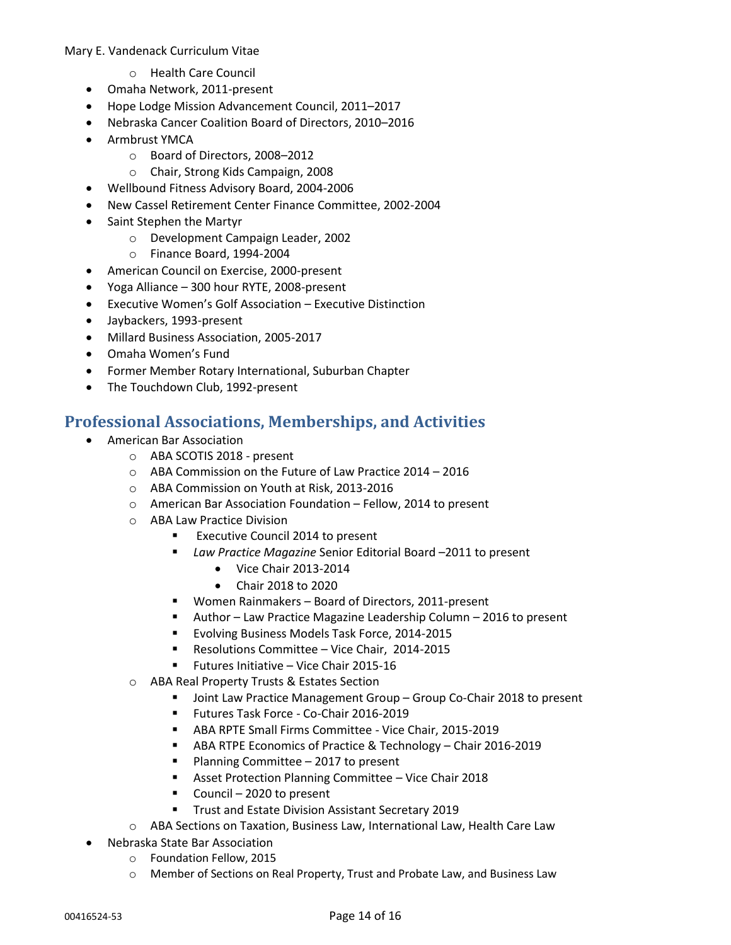- o Health Care Council
- Omaha Network, 2011-present
- Hope Lodge Mission Advancement Council, 2011–2017
- Nebraska Cancer Coalition Board of Directors, 2010–2016
- Armbrust YMCA
	- o Board of Directors, 2008–2012
	- o Chair, Strong Kids Campaign, 2008
- Wellbound Fitness Advisory Board, 2004-2006
- New Cassel Retirement Center Finance Committee, 2002-2004
- Saint Stephen the Martyr
	- o Development Campaign Leader, 2002
	- o Finance Board, 1994-2004
- American Council on Exercise, 2000-present
- Yoga Alliance 300 hour RYTE, 2008-present
- Executive Women's Golf Association Executive Distinction
- Jaybackers, 1993-present
- Millard Business Association, 2005-2017
- Omaha Women's Fund
- Former Member Rotary International, Suburban Chapter
- The Touchdown Club, 1992-present

# **Professional Associations, Memberships, and Activities**

- American Bar Association
	- o ABA SCOTIS 2018 present
	- o ABA Commission on the Future of Law Practice 2014 2016
	- o ABA Commission on Youth at Risk, 2013-2016
	- o American Bar Association Foundation Fellow, 2014 to present
	- o ABA Law Practice Division
		- Executive Council 2014 to present
		- *Law Practice Magazine* Senior Editorial Board –2011 to present
			- Vice Chair 2013-2014
			- Chair 2018 to 2020
		- Women Rainmakers Board of Directors, 2011-present
		- Author Law Practice Magazine Leadership Column 2016 to present
		- Evolving Business Models Task Force, 2014-2015
		- Resolutions Committee Vice Chair, 2014-2015
		- Futures Initiative Vice Chair 2015-16
	- o ABA Real Property Trusts & Estates Section
		- Joint Law Practice Management Group Group Co-Chair 2018 to present
		- Futures Task Force Co-Chair 2016-2019
		- ABA RPTE Small Firms Committee Vice Chair, 2015-2019
		- ABA RTPE Economics of Practice & Technology Chair 2016-2019
		- Planning Committee 2017 to present
		- Asset Protection Planning Committee Vice Chair 2018
		- Council 2020 to present
		- Trust and Estate Division Assistant Secretary 2019
	- o ABA Sections on Taxation, Business Law, International Law, Health Care Law
- Nebraska State Bar Association
	- o Foundation Fellow, 2015
	- o Member of Sections on Real Property, Trust and Probate Law, and Business Law